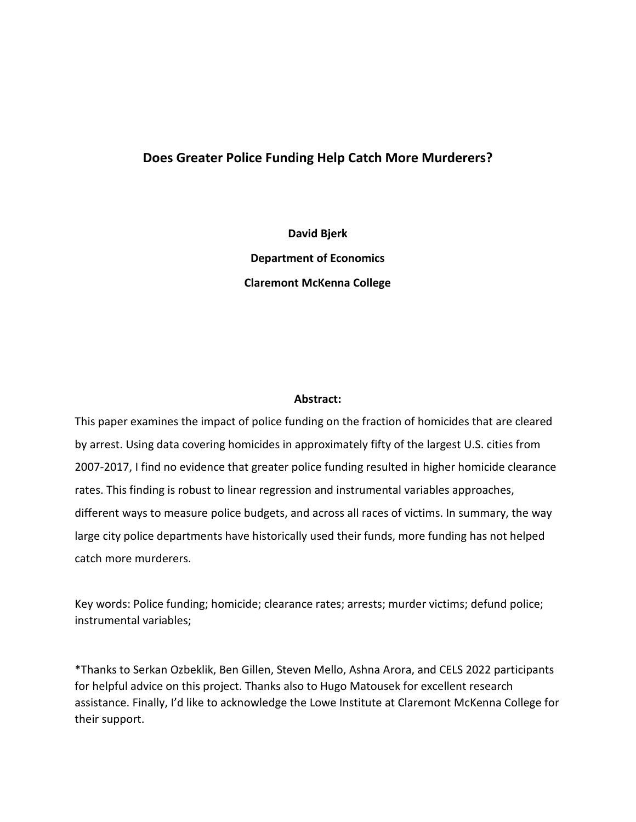# **Does Greater Police Funding Help Catch More Murderers?**

**David Bjerk Department of Economics Claremont McKenna College**

## **Abstract:**

This paper examines the impact of police funding on the fraction of homicides that are cleared by arrest. Using data covering homicides in approximately fifty of the largest U.S. cities from 2007-2017, I find no evidence that greater police funding resulted in higher homicide clearance rates. This finding is robust to linear regression and instrumental variables approaches, different ways to measure police budgets, and across all races of victims. In summary, the way large city police departments have historically used their funds, more funding has not helped catch more murderers.

Key words: Police funding; homicide; clearance rates; arrests; murder victims; defund police; instrumental variables;

\*Thanks to Serkan Ozbeklik, Ben Gillen, Steven Mello, Ashna Arora, and CELS 2022 participants for helpful advice on this project. Thanks also to Hugo Matousek for excellent research assistance. Finally, I'd like to acknowledge the Lowe Institute at Claremont McKenna College for their support.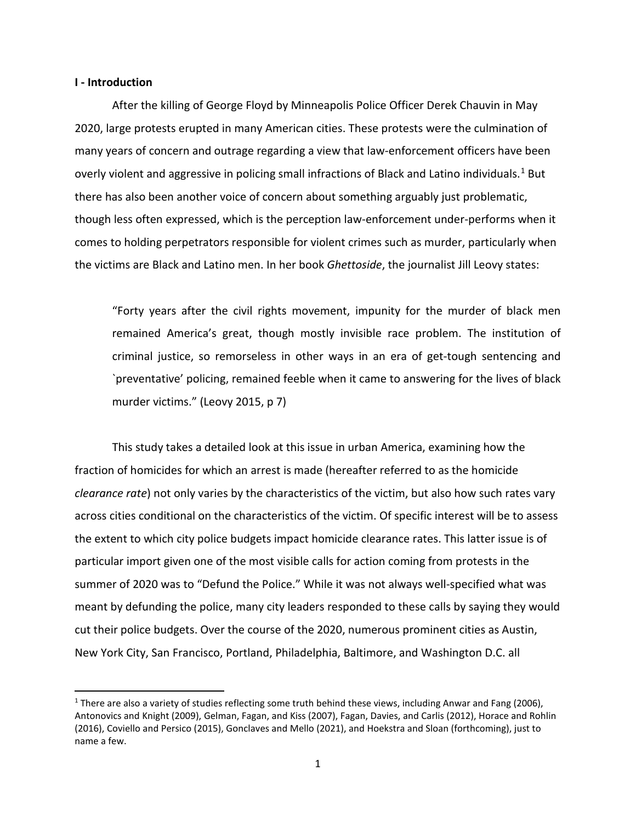### **I - Introduction**

After the killing of George Floyd by Minneapolis Police Officer Derek Chauvin in May 2020, large protests erupted in many American cities. These protests were the culmination of many years of concern and outrage regarding a view that law-enforcement officers have been overly violent and aggressive in policing small infractions of Black and Latino individuals.<sup>[1](#page-1-0)</sup> But there has also been another voice of concern about something arguably just problematic, though less often expressed, which is the perception law-enforcement under-performs when it comes to holding perpetrators responsible for violent crimes such as murder, particularly when the victims are Black and Latino men. In her book *Ghettoside*, the journalist Jill Leovy states:

"Forty years after the civil rights movement, impunity for the murder of black men remained America's great, though mostly invisible race problem. The institution of criminal justice, so remorseless in other ways in an era of get-tough sentencing and `preventative' policing, remained feeble when it came to answering for the lives of black murder victims." (Leovy 2015, p 7)

This study takes a detailed look at this issue in urban America, examining how the fraction of homicides for which an arrest is made (hereafter referred to as the homicide *clearance rate*) not only varies by the characteristics of the victim, but also how such rates vary across cities conditional on the characteristics of the victim. Of specific interest will be to assess the extent to which city police budgets impact homicide clearance rates. This latter issue is of particular import given one of the most visible calls for action coming from protests in the summer of 2020 was to "Defund the Police." While it was not always well-specified what was meant by defunding the police, many city leaders responded to these calls by saying they would cut their police budgets. Over the course of the 2020, numerous prominent cities as Austin, New York City, San Francisco, Portland, Philadelphia, Baltimore, and Washington D.C. all

<span id="page-1-0"></span><sup>&</sup>lt;sup>1</sup> There are also a variety of studies reflecting some truth behind these views, including Anwar and Fang (2006), Antonovics and Knight (2009), Gelman, Fagan, and Kiss (2007), Fagan, Davies, and Carlis (2012), Horace and Rohlin (2016), Coviello and Persico (2015), Gonclaves and Mello (2021), and Hoekstra and Sloan (forthcoming), just to name a few.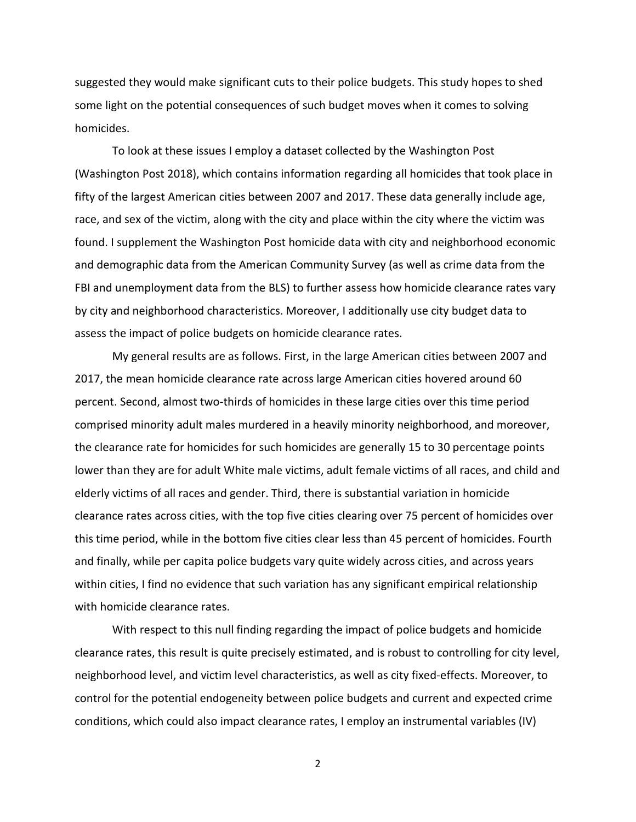suggested they would make significant cuts to their police budgets. This study hopes to shed some light on the potential consequences of such budget moves when it comes to solving homicides.

To look at these issues I employ a dataset collected by the Washington Post (Washington Post 2018), which contains information regarding all homicides that took place in fifty of the largest American cities between 2007 and 2017. These data generally include age, race, and sex of the victim, along with the city and place within the city where the victim was found. I supplement the Washington Post homicide data with city and neighborhood economic and demographic data from the American Community Survey (as well as crime data from the FBI and unemployment data from the BLS) to further assess how homicide clearance rates vary by city and neighborhood characteristics. Moreover, I additionally use city budget data to assess the impact of police budgets on homicide clearance rates.

My general results are as follows. First, in the large American cities between 2007 and 2017, the mean homicide clearance rate across large American cities hovered around 60 percent. Second, almost two-thirds of homicides in these large cities over this time period comprised minority adult males murdered in a heavily minority neighborhood, and moreover, the clearance rate for homicides for such homicides are generally 15 to 30 percentage points lower than they are for adult White male victims, adult female victims of all races, and child and elderly victims of all races and gender. Third, there is substantial variation in homicide clearance rates across cities, with the top five cities clearing over 75 percent of homicides over this time period, while in the bottom five cities clear less than 45 percent of homicides. Fourth and finally, while per capita police budgets vary quite widely across cities, and across years within cities, I find no evidence that such variation has any significant empirical relationship with homicide clearance rates.

With respect to this null finding regarding the impact of police budgets and homicide clearance rates, this result is quite precisely estimated, and is robust to controlling for city level, neighborhood level, and victim level characteristics, as well as city fixed-effects. Moreover, to control for the potential endogeneity between police budgets and current and expected crime conditions, which could also impact clearance rates, I employ an instrumental variables (IV)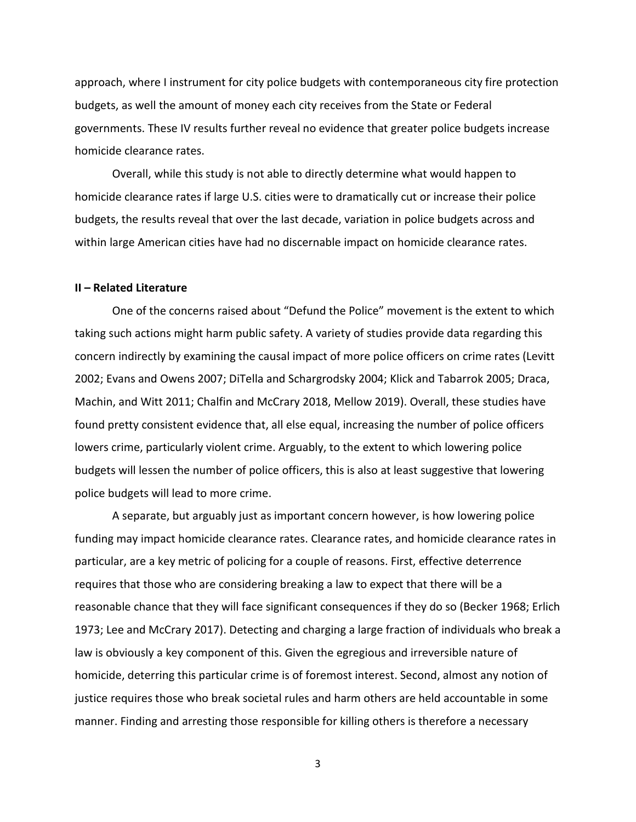approach, where I instrument for city police budgets with contemporaneous city fire protection budgets, as well the amount of money each city receives from the State or Federal governments. These IV results further reveal no evidence that greater police budgets increase homicide clearance rates.

Overall, while this study is not able to directly determine what would happen to homicide clearance rates if large U.S. cities were to dramatically cut or increase their police budgets, the results reveal that over the last decade, variation in police budgets across and within large American cities have had no discernable impact on homicide clearance rates.

#### **II – Related Literature**

One of the concerns raised about "Defund the Police" movement is the extent to which taking such actions might harm public safety. A variety of studies provide data regarding this concern indirectly by examining the causal impact of more police officers on crime rates (Levitt 2002; Evans and Owens 2007; DiTella and Schargrodsky 2004; Klick and Tabarrok 2005; Draca, Machin, and Witt 2011; Chalfin and McCrary 2018, Mellow 2019). Overall, these studies have found pretty consistent evidence that, all else equal, increasing the number of police officers lowers crime, particularly violent crime. Arguably, to the extent to which lowering police budgets will lessen the number of police officers, this is also at least suggestive that lowering police budgets will lead to more crime.

A separate, but arguably just as important concern however, is how lowering police funding may impact homicide clearance rates. Clearance rates, and homicide clearance rates in particular, are a key metric of policing for a couple of reasons. First, effective deterrence requires that those who are considering breaking a law to expect that there will be a reasonable chance that they will face significant consequences if they do so (Becker 1968; Erlich 1973; Lee and McCrary 2017). Detecting and charging a large fraction of individuals who break a law is obviously a key component of this. Given the egregious and irreversible nature of homicide, deterring this particular crime is of foremost interest. Second, almost any notion of justice requires those who break societal rules and harm others are held accountable in some manner. Finding and arresting those responsible for killing others is therefore a necessary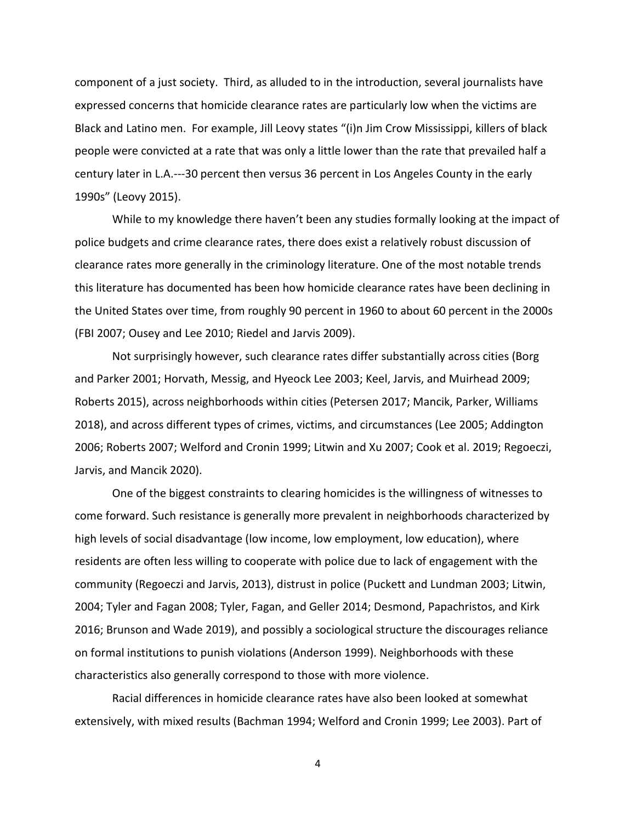component of a just society. Third, as alluded to in the introduction, several journalists have expressed concerns that homicide clearance rates are particularly low when the victims are Black and Latino men. For example, Jill Leovy states "(i)n Jim Crow Mississippi, killers of black people were convicted at a rate that was only a little lower than the rate that prevailed half a century later in L.A.---30 percent then versus 36 percent in Los Angeles County in the early 1990s" (Leovy 2015).

While to my knowledge there haven't been any studies formally looking at the impact of police budgets and crime clearance rates, there does exist a relatively robust discussion of clearance rates more generally in the criminology literature. One of the most notable trends this literature has documented has been how homicide clearance rates have been declining in the United States over time, from roughly 90 percent in 1960 to about 60 percent in the 2000s (FBI 2007; Ousey and Lee 2010; Riedel and Jarvis 2009).

Not surprisingly however, such clearance rates differ substantially across cities (Borg and Parker 2001; Horvath, Messig, and Hyeock Lee 2003; Keel, Jarvis, and Muirhead 2009; Roberts 2015), across neighborhoods within cities (Petersen 2017; Mancik, Parker, Williams 2018), and across different types of crimes, victims, and circumstances (Lee 2005; Addington 2006; Roberts 2007; Welford and Cronin 1999; Litwin and Xu 2007; Cook et al. 2019; Regoeczi, Jarvis, and Mancik 2020).

One of the biggest constraints to clearing homicides is the willingness of witnesses to come forward. Such resistance is generally more prevalent in neighborhoods characterized by high levels of social disadvantage (low income, low employment, low education), where residents are often less willing to cooperate with police due to lack of engagement with the community (Regoeczi and Jarvis, 2013), distrust in police (Puckett and Lundman 2003; Litwin, 2004; Tyler and Fagan 2008; Tyler, Fagan, and Geller 2014; Desmond, Papachristos, and Kirk 2016; Brunson and Wade 2019), and possibly a sociological structure the discourages reliance on formal institutions to punish violations (Anderson 1999). Neighborhoods with these characteristics also generally correspond to those with more violence.

Racial differences in homicide clearance rates have also been looked at somewhat extensively, with mixed results (Bachman 1994; Welford and Cronin 1999; Lee 2003). Part of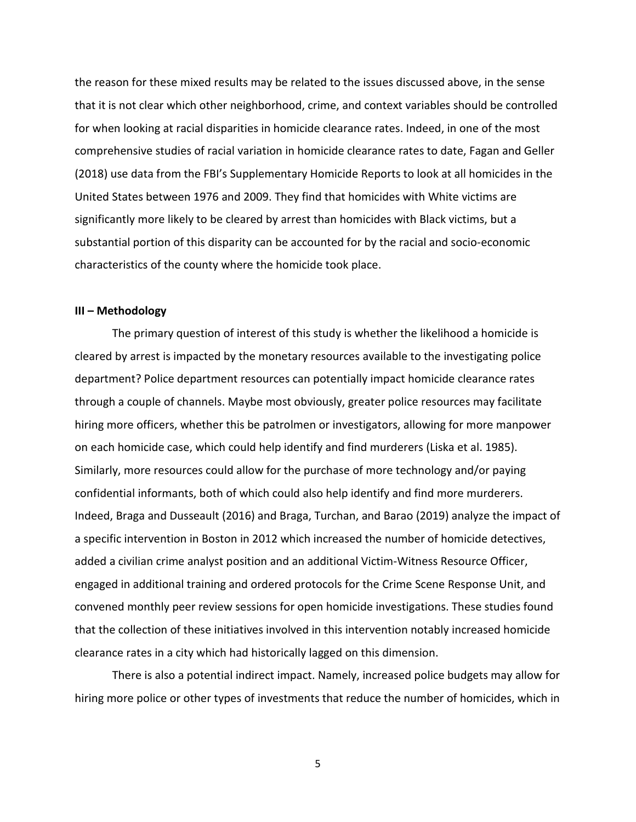the reason for these mixed results may be related to the issues discussed above, in the sense that it is not clear which other neighborhood, crime, and context variables should be controlled for when looking at racial disparities in homicide clearance rates. Indeed, in one of the most comprehensive studies of racial variation in homicide clearance rates to date, Fagan and Geller (2018) use data from the FBI's Supplementary Homicide Reports to look at all homicides in the United States between 1976 and 2009. They find that homicides with White victims are significantly more likely to be cleared by arrest than homicides with Black victims, but a substantial portion of this disparity can be accounted for by the racial and socio-economic characteristics of the county where the homicide took place.

## **III – Methodology**

The primary question of interest of this study is whether the likelihood a homicide is cleared by arrest is impacted by the monetary resources available to the investigating police department? Police department resources can potentially impact homicide clearance rates through a couple of channels. Maybe most obviously, greater police resources may facilitate hiring more officers, whether this be patrolmen or investigators, allowing for more manpower on each homicide case, which could help identify and find murderers (Liska et al. 1985). Similarly, more resources could allow for the purchase of more technology and/or paying confidential informants, both of which could also help identify and find more murderers. Indeed, Braga and Dusseault (2016) and Braga, Turchan, and Barao (2019) analyze the impact of a specific intervention in Boston in 2012 which increased the number of homicide detectives, added a civilian crime analyst position and an additional Victim-Witness Resource Officer, engaged in additional training and ordered protocols for the Crime Scene Response Unit, and convened monthly peer review sessions for open homicide investigations. These studies found that the collection of these initiatives involved in this intervention notably increased homicide clearance rates in a city which had historically lagged on this dimension.

There is also a potential indirect impact. Namely, increased police budgets may allow for hiring more police or other types of investments that reduce the number of homicides, which in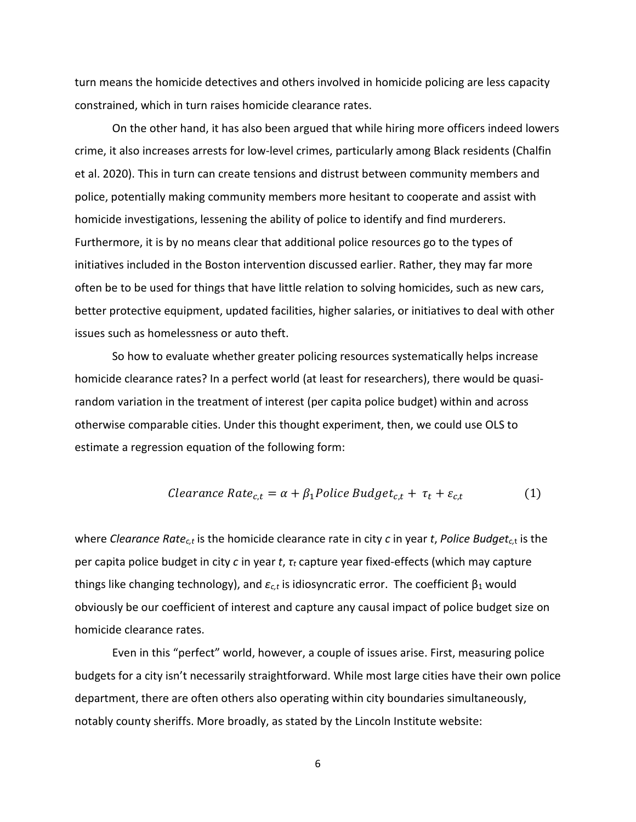turn means the homicide detectives and others involved in homicide policing are less capacity constrained, which in turn raises homicide clearance rates.

On the other hand, it has also been argued that while hiring more officers indeed lowers crime, it also increases arrests for low-level crimes, particularly among Black residents (Chalfin et al. 2020). This in turn can create tensions and distrust between community members and police, potentially making community members more hesitant to cooperate and assist with homicide investigations, lessening the ability of police to identify and find murderers. Furthermore, it is by no means clear that additional police resources go to the types of initiatives included in the Boston intervention discussed earlier. Rather, they may far more often be to be used for things that have little relation to solving homicides, such as new cars, better protective equipment, updated facilities, higher salaries, or initiatives to deal with other issues such as homelessness or auto theft.

So how to evaluate whether greater policing resources systematically helps increase homicide clearance rates? In a perfect world (at least for researchers), there would be quasirandom variation in the treatment of interest (per capita police budget) within and across otherwise comparable cities. Under this thought experiment, then, we could use OLS to estimate a regression equation of the following form:

$$
Clearance Rate_{c,t} = \alpha + \beta_1 Police Budget_{c,t} + \tau_t + \varepsilon_{c,t}
$$
 (1)

where *Clearance Ratec,t* is the homicide clearance rate in city *c* in year *t*, *Police Budgetc,*<sup>t</sup> is the per capita police budget in city *c* in year *t*, *τ<sup>t</sup>* capture year fixed-effects (which may capture things like changing technology), and *εc,t* is idiosyncratic error. The coefficient β<sup>1</sup> would obviously be our coefficient of interest and capture any causal impact of police budget size on homicide clearance rates.

Even in this "perfect" world, however, a couple of issues arise. First, measuring police budgets for a city isn't necessarily straightforward. While most large cities have their own police department, there are often others also operating within city boundaries simultaneously, notably county sheriffs. More broadly, as stated by the Lincoln Institute website: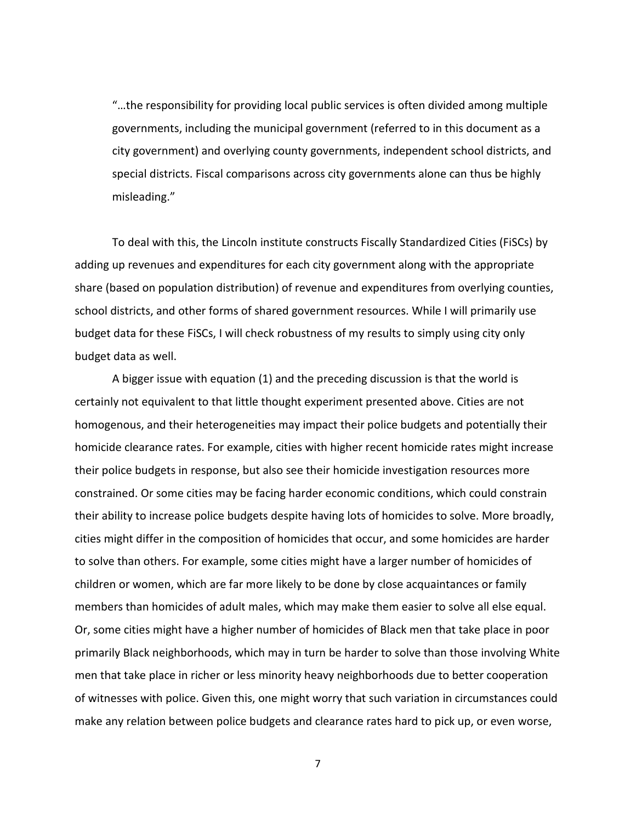"…the responsibility for providing local public services is often divided among multiple governments, including the municipal government (referred to in this document as a city government) and overlying county governments, independent school districts, and special districts. Fiscal comparisons across city governments alone can thus be highly misleading."

To deal with this, the Lincoln institute constructs Fiscally Standardized Cities (FiSCs) by adding up revenues and expenditures for each city government along with the appropriate share (based on population distribution) of revenue and expenditures from overlying counties, school districts, and other forms of shared government resources. While I will primarily use budget data for these FiSCs, I will check robustness of my results to simply using city only budget data as well.

A bigger issue with equation (1) and the preceding discussion is that the world is certainly not equivalent to that little thought experiment presented above. Cities are not homogenous, and their heterogeneities may impact their police budgets and potentially their homicide clearance rates. For example, cities with higher recent homicide rates might increase their police budgets in response, but also see their homicide investigation resources more constrained. Or some cities may be facing harder economic conditions, which could constrain their ability to increase police budgets despite having lots of homicides to solve. More broadly, cities might differ in the composition of homicides that occur, and some homicides are harder to solve than others. For example, some cities might have a larger number of homicides of children or women, which are far more likely to be done by close acquaintances or family members than homicides of adult males, which may make them easier to solve all else equal. Or, some cities might have a higher number of homicides of Black men that take place in poor primarily Black neighborhoods, which may in turn be harder to solve than those involving White men that take place in richer or less minority heavy neighborhoods due to better cooperation of witnesses with police. Given this, one might worry that such variation in circumstances could make any relation between police budgets and clearance rates hard to pick up, or even worse,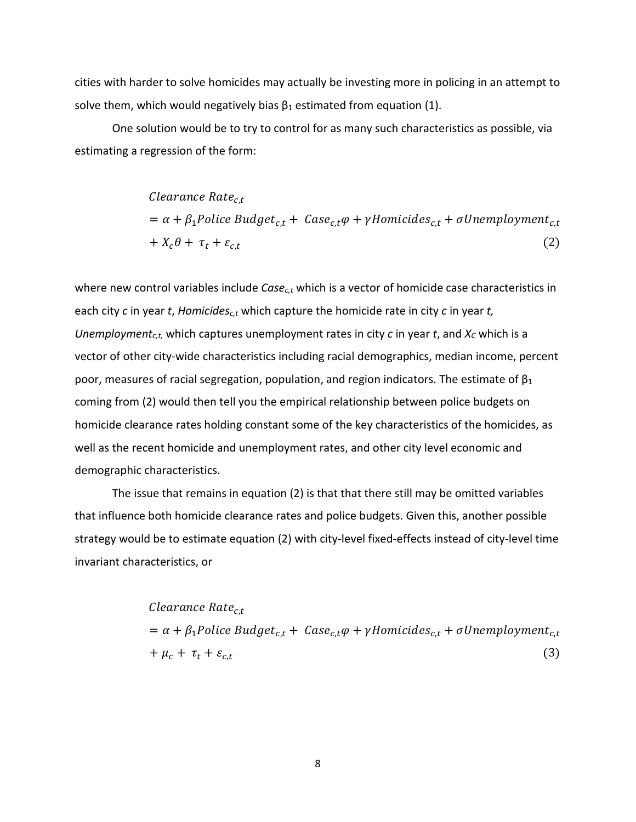cities with harder to solve homicides may actually be investing more in policing in an attempt to solve them, which would negatively bias  $\beta_1$  estimated from equation (1).

One solution would be to try to control for as many such characteristics as possible, via estimating a regression of the form:

> Clearance Rate<sub>ct</sub>  $= \alpha + \beta_1$ Police Budget<sub>c,t</sub> + Case<sub>c,t</sub> $\varphi$  +  $\gamma$ Homicides<sub>c,t</sub> +  $\sigma$ Unemployment<sub>c,t</sub>  $+ X_c \theta + \tau_t + \varepsilon_{c,t}$  (2)

where new control variables include *Casec,t* which is a vector of homicide case characteristics in each city *c* in year *t*, *Homicidesc,t* which capture the homicide rate in city *c* in year *t, Unemployment<sub>c,t,</sub>* which captures unemployment rates in city *c* in year *t*, and  $X_c$  which is a vector of other city-wide characteristics including racial demographics, median income, percent poor, measures of racial segregation, population, and region indicators. The estimate of  $\beta_1$ coming from (2) would then tell you the empirical relationship between police budgets on homicide clearance rates holding constant some of the key characteristics of the homicides, as well as the recent homicide and unemployment rates, and other city level economic and demographic characteristics.

The issue that remains in equation (2) is that that there still may be omitted variables that influence both homicide clearance rates and police budgets. Given this, another possible strategy would be to estimate equation (2) with city-level fixed-effects instead of city-level time invariant characteristics, or

> Clearance Rate<sub>ct</sub>  $= \alpha + \beta_1$ Police Budget<sub>c,t</sub> + Case<sub>c,t</sub> $\varphi$  +  $\gamma$ Homicides<sub>c,t</sub> +  $\sigma$ Unemployment<sub>c,t</sub>  $+ \mu_c + \tau_t + \varepsilon_{c,t}$  (3)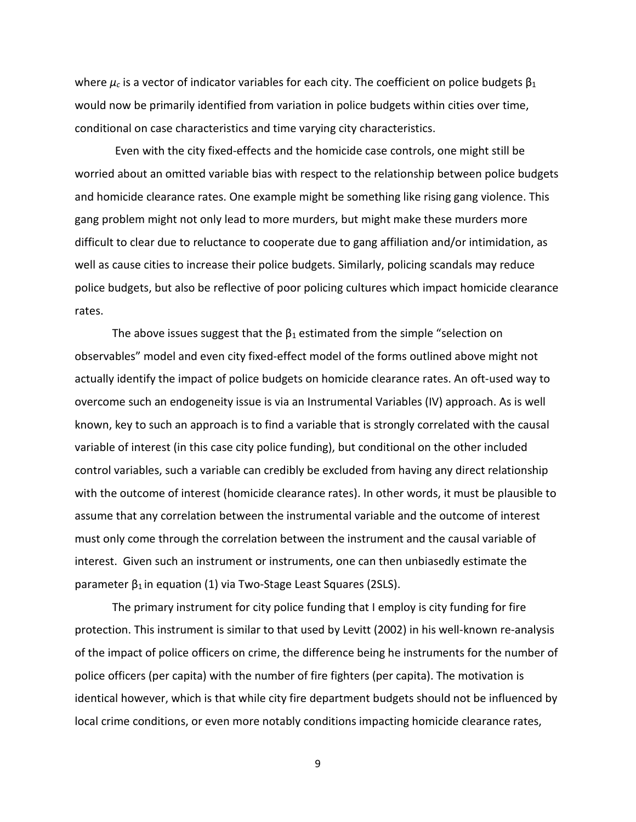where  $\mu_c$  is a vector of indicator variables for each city. The coefficient on police budgets  $\beta_1$ would now be primarily identified from variation in police budgets within cities over time, conditional on case characteristics and time varying city characteristics.

Even with the city fixed-effects and the homicide case controls, one might still be worried about an omitted variable bias with respect to the relationship between police budgets and homicide clearance rates. One example might be something like rising gang violence. This gang problem might not only lead to more murders, but might make these murders more difficult to clear due to reluctance to cooperate due to gang affiliation and/or intimidation, as well as cause cities to increase their police budgets. Similarly, policing scandals may reduce police budgets, but also be reflective of poor policing cultures which impact homicide clearance rates.

The above issues suggest that the  $\beta_1$  estimated from the simple "selection on observables" model and even city fixed-effect model of the forms outlined above might not actually identify the impact of police budgets on homicide clearance rates. An oft-used way to overcome such an endogeneity issue is via an Instrumental Variables (IV) approach. As is well known, key to such an approach is to find a variable that is strongly correlated with the causal variable of interest (in this case city police funding), but conditional on the other included control variables, such a variable can credibly be excluded from having any direct relationship with the outcome of interest (homicide clearance rates). In other words, it must be plausible to assume that any correlation between the instrumental variable and the outcome of interest must only come through the correlation between the instrument and the causal variable of interest. Given such an instrument or instruments, one can then unbiasedly estimate the parameter  $β_1$  in equation (1) via Two-Stage Least Squares (2SLS).

The primary instrument for city police funding that I employ is city funding for fire protection. This instrument is similar to that used by Levitt (2002) in his well-known re-analysis of the impact of police officers on crime, the difference being he instruments for the number of police officers (per capita) with the number of fire fighters (per capita). The motivation is identical however, which is that while city fire department budgets should not be influenced by local crime conditions, or even more notably conditions impacting homicide clearance rates,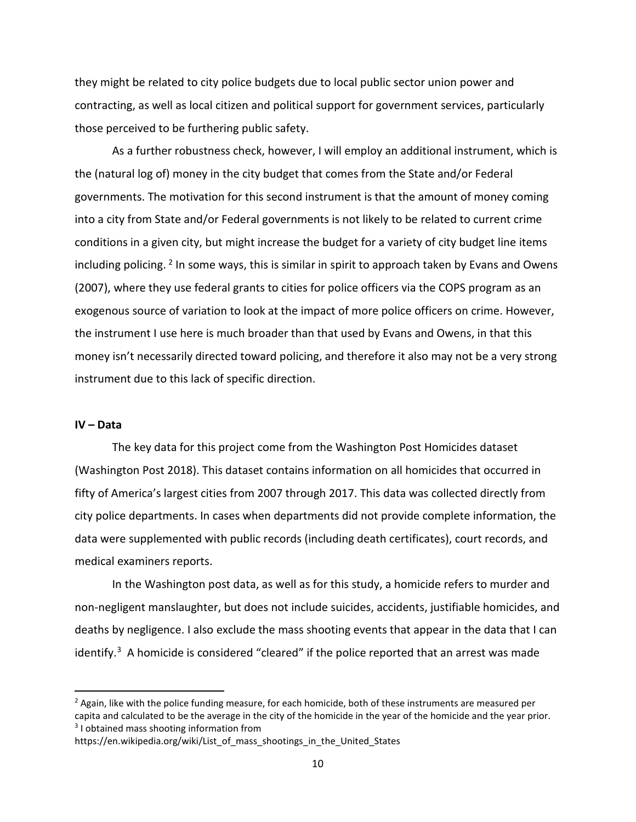they might be related to city police budgets due to local public sector union power and contracting, as well as local citizen and political support for government services, particularly those perceived to be furthering public safety.

As a further robustness check, however, I will employ an additional instrument, which is the (natural log of) money in the city budget that comes from the State and/or Federal governments. The motivation for this second instrument is that the amount of money coming into a city from State and/or Federal governments is not likely to be related to current crime conditions in a given city, but might increase the budget for a variety of city budget line items including policing. <sup>[2](#page-10-0)</sup> In some ways, this is similar in spirit to approach taken by Evans and Owens (2007), where they use federal grants to cities for police officers via the COPS program as an exogenous source of variation to look at the impact of more police officers on crime. However, the instrument I use here is much broader than that used by Evans and Owens, in that this money isn't necessarily directed toward policing, and therefore it also may not be a very strong instrument due to this lack of specific direction.

#### **IV – Data**

The key data for this project come from the Washington Post Homicides dataset (Washington Post 2018). This dataset contains information on all homicides that occurred in fifty of America's largest cities from 2007 through 2017. This data was collected directly from city police departments. In cases when departments did not provide complete information, the data were supplemented with public records (including death certificates), court records, and medical examiners reports.

In the Washington post data, as well as for this study, a homicide refers to murder and non-negligent manslaughter, but does not include suicides, accidents, justifiable homicides, and deaths by negligence. I also exclude the mass shooting events that appear in the data that I can identify. $3$  A homicide is considered "cleared" if the police reported that an arrest was made

<span id="page-10-0"></span> $<sup>2</sup>$  Again, like with the police funding measure, for each homicide, both of these instruments are measured per</sup> capita and calculated to be the average in the city of the homicide in the year of the homicide and the year prior. <sup>3</sup> I obtained mass shooting information from

<span id="page-10-1"></span>https://en.wikipedia.org/wiki/List\_of\_mass\_shootings\_in\_the\_United\_States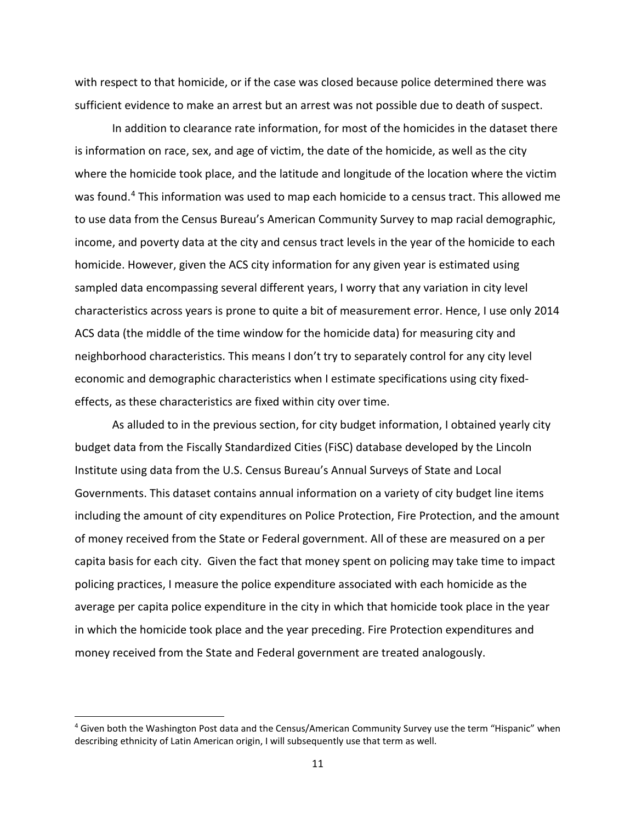with respect to that homicide, or if the case was closed because police determined there was sufficient evidence to make an arrest but an arrest was not possible due to death of suspect.

In addition to clearance rate information, for most of the homicides in the dataset there is information on race, sex, and age of victim, the date of the homicide, as well as the city where the homicide took place, and the latitude and longitude of the location where the victim was found.<sup>[4](#page-11-0)</sup> This information was used to map each homicide to a census tract. This allowed me to use data from the Census Bureau's American Community Survey to map racial demographic, income, and poverty data at the city and census tract levels in the year of the homicide to each homicide. However, given the ACS city information for any given year is estimated using sampled data encompassing several different years, I worry that any variation in city level characteristics across years is prone to quite a bit of measurement error. Hence, I use only 2014 ACS data (the middle of the time window for the homicide data) for measuring city and neighborhood characteristics. This means I don't try to separately control for any city level economic and demographic characteristics when I estimate specifications using city fixedeffects, as these characteristics are fixed within city over time.

As alluded to in the previous section, for city budget information, I obtained yearly city budget data from the Fiscally Standardized Cities (FiSC) database developed by the Lincoln Institute using data from the U.S. Census Bureau's Annual Surveys of State and Local Governments. This dataset contains annual information on a variety of city budget line items including the amount of city expenditures on Police Protection, Fire Protection, and the amount of money received from the State or Federal government. All of these are measured on a per capita basis for each city. Given the fact that money spent on policing may take time to impact policing practices, I measure the police expenditure associated with each homicide as the average per capita police expenditure in the city in which that homicide took place in the year in which the homicide took place and the year preceding. Fire Protection expenditures and money received from the State and Federal government are treated analogously.

<span id="page-11-0"></span> <sup>4</sup> Given both the Washington Post data and the Census/American Community Survey use the term "Hispanic" when describing ethnicity of Latin American origin, I will subsequently use that term as well.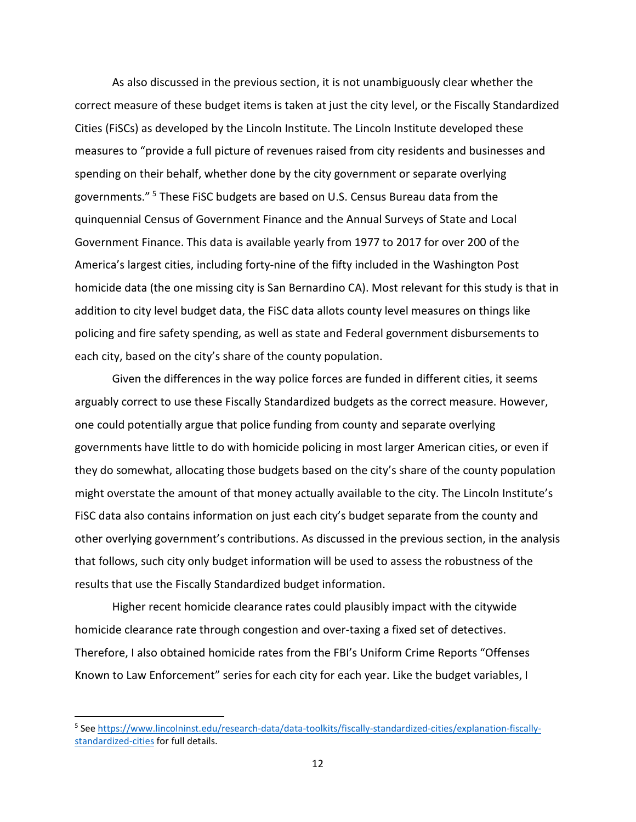As also discussed in the previous section, it is not unambiguously clear whether the correct measure of these budget items is taken at just the city level, or the Fiscally Standardized Cities (FiSCs) as developed by the Lincoln Institute. The Lincoln Institute developed these measures to "provide a full picture of revenues raised from city residents and businesses and spending on their behalf, whether done by the city government or separate overlying governments." [5](#page-12-0) These FiSC budgets are based on U.S. Census Bureau data from the quinquennial Census of Government Finance and the Annual Surveys of State and Local Government Finance. This data is available yearly from 1977 to 2017 for over 200 of the America's largest cities, including forty-nine of the fifty included in the Washington Post homicide data (the one missing city is San Bernardino CA). Most relevant for this study is that in addition to city level budget data, the FiSC data allots county level measures on things like policing and fire safety spending, as well as state and Federal government disbursements to each city, based on the city's share of the county population.

Given the differences in the way police forces are funded in different cities, it seems arguably correct to use these Fiscally Standardized budgets as the correct measure. However, one could potentially argue that police funding from county and separate overlying governments have little to do with homicide policing in most larger American cities, or even if they do somewhat, allocating those budgets based on the city's share of the county population might overstate the amount of that money actually available to the city. The Lincoln Institute's FiSC data also contains information on just each city's budget separate from the county and other overlying government's contributions. As discussed in the previous section, in the analysis that follows, such city only budget information will be used to assess the robustness of the results that use the Fiscally Standardized budget information.

Higher recent homicide clearance rates could plausibly impact with the citywide homicide clearance rate through congestion and over-taxing a fixed set of detectives. Therefore, I also obtained homicide rates from the FBI's Uniform Crime Reports "Offenses Known to Law Enforcement" series for each city for each year. Like the budget variables, I

<span id="page-12-0"></span> <sup>5</sup> See [https://www.lincolninst.edu/research-data/data-toolkits/fiscally-standardized-cities/explanation-fiscally](https://www.lincolninst.edu/research-data/data-toolkits/fiscally-standardized-cities/explanation-fiscally-standardized-cities)[standardized-cities](https://www.lincolninst.edu/research-data/data-toolkits/fiscally-standardized-cities/explanation-fiscally-standardized-cities) for full details.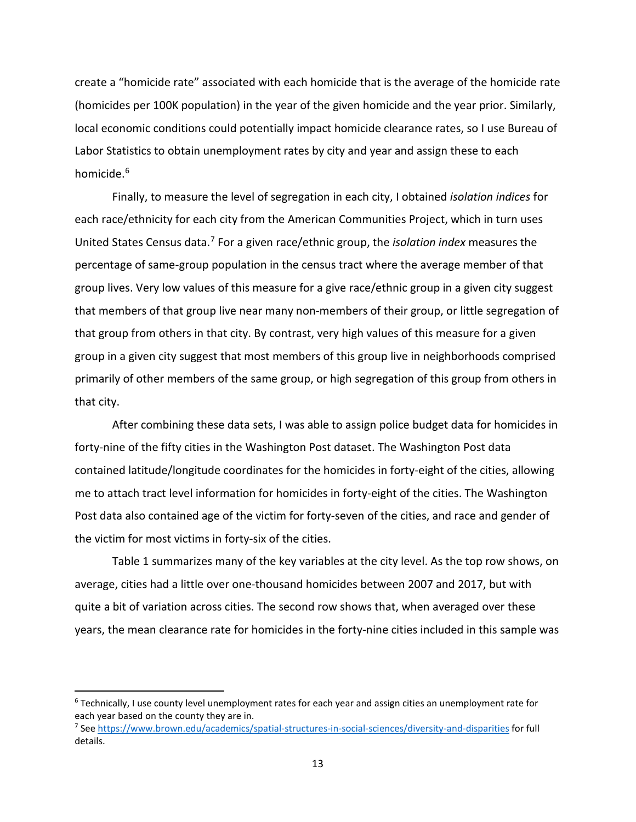create a "homicide rate" associated with each homicide that is the average of the homicide rate (homicides per 100K population) in the year of the given homicide and the year prior. Similarly, local economic conditions could potentially impact homicide clearance rates, so I use Bureau of Labor Statistics to obtain unemployment rates by city and year and assign these to each homicide.[6](#page-13-0)

Finally, to measure the level of segregation in each city, I obtained *isolation indices* for each race/ethnicity for each city from the American Communities Project, which in turn uses United States Census data. [7](#page-13-1) For a given race/ethnic group, the *isolation index* measures the percentage of same-group population in the census tract where the average member of that group lives. Very low values of this measure for a give race/ethnic group in a given city suggest that members of that group live near many non-members of their group, or little segregation of that group from others in that city. By contrast, very high values of this measure for a given group in a given city suggest that most members of this group live in neighborhoods comprised primarily of other members of the same group, or high segregation of this group from others in that city.

After combining these data sets, I was able to assign police budget data for homicides in forty-nine of the fifty cities in the Washington Post dataset. The Washington Post data contained latitude/longitude coordinates for the homicides in forty-eight of the cities, allowing me to attach tract level information for homicides in forty-eight of the cities. The Washington Post data also contained age of the victim for forty-seven of the cities, and race and gender of the victim for most victims in forty-six of the cities.

Table 1 summarizes many of the key variables at the city level. As the top row shows, on average, cities had a little over one-thousand homicides between 2007 and 2017, but with quite a bit of variation across cities. The second row shows that, when averaged over these years, the mean clearance rate for homicides in the forty-nine cities included in this sample was

<span id="page-13-0"></span> <sup>6</sup> Technically, I use county level unemployment rates for each year and assign cities an unemployment rate for each year based on the county they are in.

<span id="page-13-1"></span><sup>7</sup> See<https://www.brown.edu/academics/spatial-structures-in-social-sciences/diversity-and-disparities> for full details.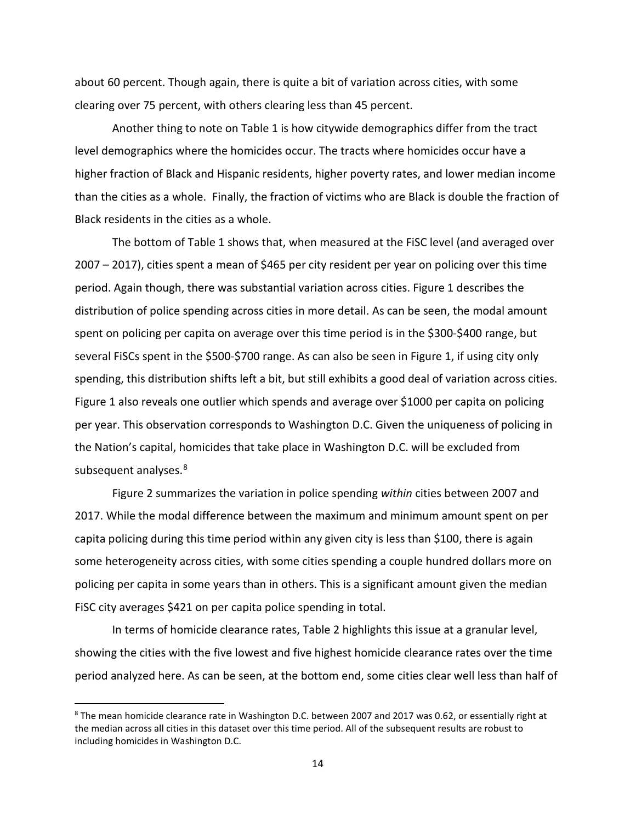about 60 percent. Though again, there is quite a bit of variation across cities, with some clearing over 75 percent, with others clearing less than 45 percent.

Another thing to note on Table 1 is how citywide demographics differ from the tract level demographics where the homicides occur. The tracts where homicides occur have a higher fraction of Black and Hispanic residents, higher poverty rates, and lower median income than the cities as a whole. Finally, the fraction of victims who are Black is double the fraction of Black residents in the cities as a whole.

The bottom of Table 1 shows that, when measured at the FiSC level (and averaged over 2007 – 2017), cities spent a mean of \$465 per city resident per year on policing over this time period. Again though, there was substantial variation across cities. Figure 1 describes the distribution of police spending across cities in more detail. As can be seen, the modal amount spent on policing per capita on average over this time period is in the \$300-\$400 range, but several FiSCs spent in the \$500-\$700 range. As can also be seen in Figure 1, if using city only spending, this distribution shifts left a bit, but still exhibits a good deal of variation across cities. Figure 1 also reveals one outlier which spends and average over \$1000 per capita on policing per year. This observation corresponds to Washington D.C. Given the uniqueness of policing in the Nation's capital, homicides that take place in Washington D.C. will be excluded from subsequent analyses.<sup>[8](#page-14-0)</sup>

Figure 2 summarizes the variation in police spending *within* cities between 2007 and 2017. While the modal difference between the maximum and minimum amount spent on per capita policing during this time period within any given city is less than \$100, there is again some heterogeneity across cities, with some cities spending a couple hundred dollars more on policing per capita in some years than in others. This is a significant amount given the median FiSC city averages \$421 on per capita police spending in total.

In terms of homicide clearance rates, Table 2 highlights this issue at a granular level, showing the cities with the five lowest and five highest homicide clearance rates over the time period analyzed here. As can be seen, at the bottom end, some cities clear well less than half of

<span id="page-14-0"></span><sup>&</sup>lt;sup>8</sup> The mean homicide clearance rate in Washington D.C. between 2007 and 2017 was 0.62, or essentially right at the median across all cities in this dataset over this time period. All of the subsequent results are robust to including homicides in Washington D.C.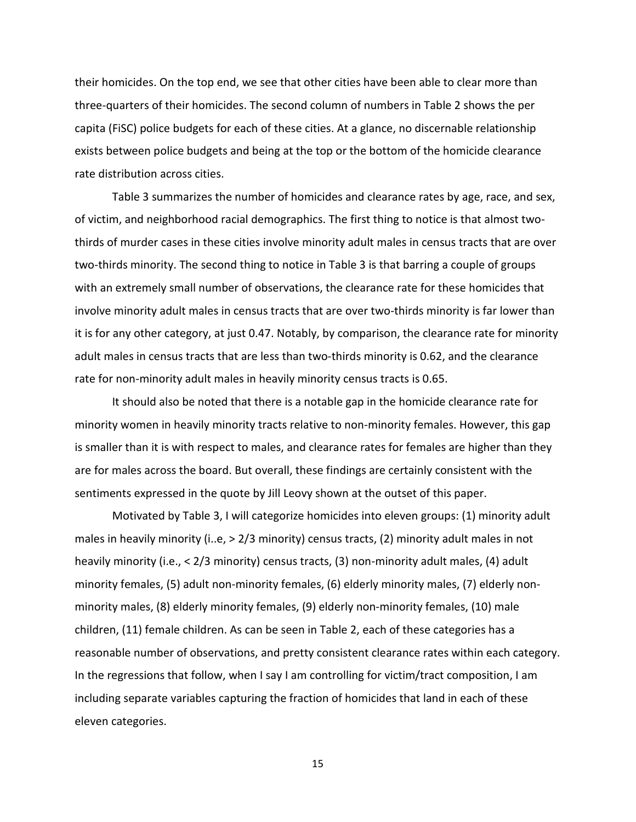their homicides. On the top end, we see that other cities have been able to clear more than three-quarters of their homicides. The second column of numbers in Table 2 shows the per capita (FiSC) police budgets for each of these cities. At a glance, no discernable relationship exists between police budgets and being at the top or the bottom of the homicide clearance rate distribution across cities.

Table 3 summarizes the number of homicides and clearance rates by age, race, and sex, of victim, and neighborhood racial demographics. The first thing to notice is that almost twothirds of murder cases in these cities involve minority adult males in census tracts that are over two-thirds minority. The second thing to notice in Table 3 is that barring a couple of groups with an extremely small number of observations, the clearance rate for these homicides that involve minority adult males in census tracts that are over two-thirds minority is far lower than it is for any other category, at just 0.47. Notably, by comparison, the clearance rate for minority adult males in census tracts that are less than two-thirds minority is 0.62, and the clearance rate for non-minority adult males in heavily minority census tracts is 0.65.

It should also be noted that there is a notable gap in the homicide clearance rate for minority women in heavily minority tracts relative to non-minority females. However, this gap is smaller than it is with respect to males, and clearance rates for females are higher than they are for males across the board. But overall, these findings are certainly consistent with the sentiments expressed in the quote by Jill Leovy shown at the outset of this paper.

Motivated by Table 3, I will categorize homicides into eleven groups: (1) minority adult males in heavily minority (i..e, > 2/3 minority) census tracts, (2) minority adult males in not heavily minority (i.e., < 2/3 minority) census tracts, (3) non-minority adult males, (4) adult minority females, (5) adult non-minority females, (6) elderly minority males, (7) elderly nonminority males, (8) elderly minority females, (9) elderly non-minority females, (10) male children, (11) female children. As can be seen in Table 2, each of these categories has a reasonable number of observations, and pretty consistent clearance rates within each category. In the regressions that follow, when I say I am controlling for victim/tract composition, I am including separate variables capturing the fraction of homicides that land in each of these eleven categories.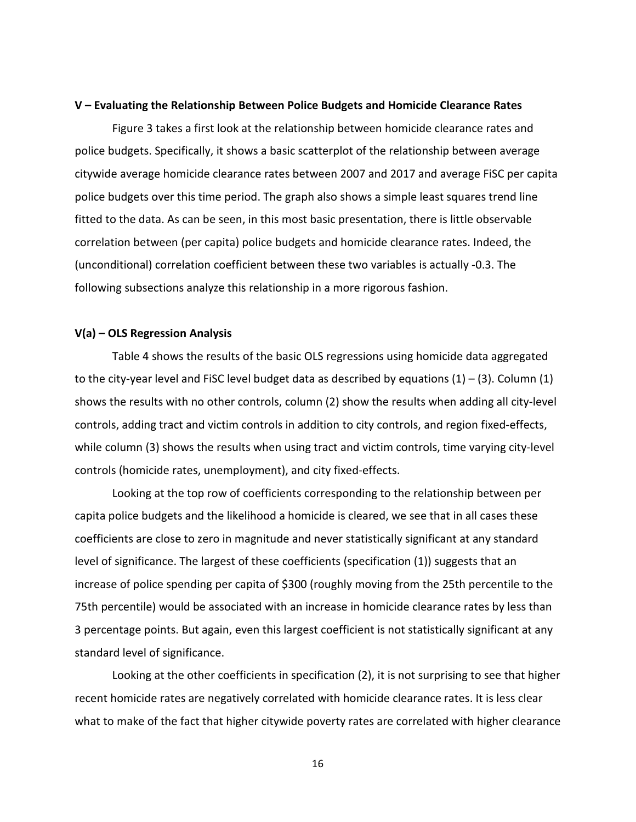#### **V – Evaluating the Relationship Between Police Budgets and Homicide Clearance Rates**

Figure 3 takes a first look at the relationship between homicide clearance rates and police budgets. Specifically, it shows a basic scatterplot of the relationship between average citywide average homicide clearance rates between 2007 and 2017 and average FiSC per capita police budgets over this time period. The graph also shows a simple least squares trend line fitted to the data. As can be seen, in this most basic presentation, there is little observable correlation between (per capita) police budgets and homicide clearance rates. Indeed, the (unconditional) correlation coefficient between these two variables is actually -0.3. The following subsections analyze this relationship in a more rigorous fashion.

#### **V(a) – OLS Regression Analysis**

Table 4 shows the results of the basic OLS regressions using homicide data aggregated to the city-year level and FISC level budget data as described by equations  $(1) - (3)$ . Column  $(1)$ shows the results with no other controls, column (2) show the results when adding all city-level controls, adding tract and victim controls in addition to city controls, and region fixed-effects, while column (3) shows the results when using tract and victim controls, time varying city-level controls (homicide rates, unemployment), and city fixed-effects.

Looking at the top row of coefficients corresponding to the relationship between per capita police budgets and the likelihood a homicide is cleared, we see that in all cases these coefficients are close to zero in magnitude and never statistically significant at any standard level of significance. The largest of these coefficients (specification (1)) suggests that an increase of police spending per capita of \$300 (roughly moving from the 25th percentile to the 75th percentile) would be associated with an increase in homicide clearance rates by less than 3 percentage points. But again, even this largest coefficient is not statistically significant at any standard level of significance.

Looking at the other coefficients in specification (2), it is not surprising to see that higher recent homicide rates are negatively correlated with homicide clearance rates. It is less clear what to make of the fact that higher citywide poverty rates are correlated with higher clearance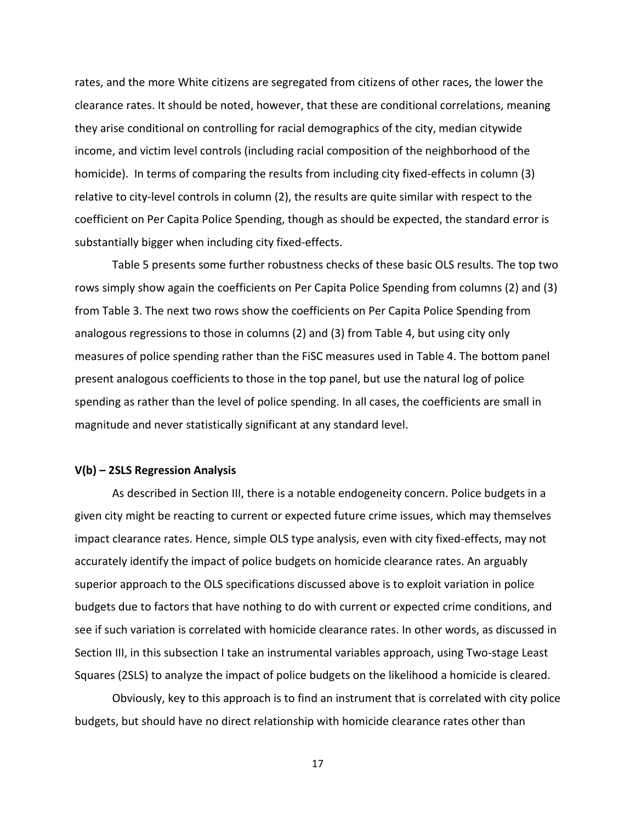rates, and the more White citizens are segregated from citizens of other races, the lower the clearance rates. It should be noted, however, that these are conditional correlations, meaning they arise conditional on controlling for racial demographics of the city, median citywide income, and victim level controls (including racial composition of the neighborhood of the homicide). In terms of comparing the results from including city fixed-effects in column (3) relative to city-level controls in column (2), the results are quite similar with respect to the coefficient on Per Capita Police Spending, though as should be expected, the standard error is substantially bigger when including city fixed-effects.

Table 5 presents some further robustness checks of these basic OLS results. The top two rows simply show again the coefficients on Per Capita Police Spending from columns (2) and (3) from Table 3. The next two rows show the coefficients on Per Capita Police Spending from analogous regressions to those in columns (2) and (3) from Table 4, but using city only measures of police spending rather than the FiSC measures used in Table 4. The bottom panel present analogous coefficients to those in the top panel, but use the natural log of police spending as rather than the level of police spending. In all cases, the coefficients are small in magnitude and never statistically significant at any standard level.

## **V(b) – 2SLS Regression Analysis**

As described in Section III, there is a notable endogeneity concern. Police budgets in a given city might be reacting to current or expected future crime issues, which may themselves impact clearance rates. Hence, simple OLS type analysis, even with city fixed-effects, may not accurately identify the impact of police budgets on homicide clearance rates. An arguably superior approach to the OLS specifications discussed above is to exploit variation in police budgets due to factors that have nothing to do with current or expected crime conditions, and see if such variation is correlated with homicide clearance rates. In other words, as discussed in Section III, in this subsection I take an instrumental variables approach, using Two-stage Least Squares (2SLS) to analyze the impact of police budgets on the likelihood a homicide is cleared.

Obviously, key to this approach is to find an instrument that is correlated with city police budgets, but should have no direct relationship with homicide clearance rates other than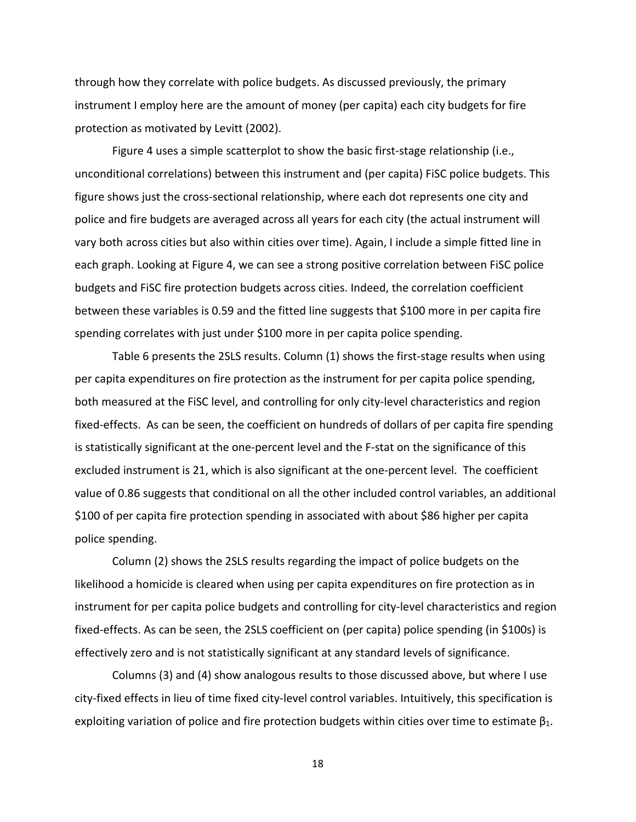through how they correlate with police budgets. As discussed previously, the primary instrument I employ here are the amount of money (per capita) each city budgets for fire protection as motivated by Levitt (2002).

Figure 4 uses a simple scatterplot to show the basic first-stage relationship (i.e., unconditional correlations) between this instrument and (per capita) FiSC police budgets. This figure shows just the cross-sectional relationship, where each dot represents one city and police and fire budgets are averaged across all years for each city (the actual instrument will vary both across cities but also within cities over time). Again, I include a simple fitted line in each graph. Looking at Figure 4, we can see a strong positive correlation between FiSC police budgets and FiSC fire protection budgets across cities. Indeed, the correlation coefficient between these variables is 0.59 and the fitted line suggests that \$100 more in per capita fire spending correlates with just under \$100 more in per capita police spending.

Table 6 presents the 2SLS results. Column (1) shows the first-stage results when using per capita expenditures on fire protection as the instrument for per capita police spending, both measured at the FiSC level, and controlling for only city-level characteristics and region fixed-effects. As can be seen, the coefficient on hundreds of dollars of per capita fire spending is statistically significant at the one-percent level and the F-stat on the significance of this excluded instrument is 21, which is also significant at the one-percent level. The coefficient value of 0.86 suggests that conditional on all the other included control variables, an additional \$100 of per capita fire protection spending in associated with about \$86 higher per capita police spending.

Column (2) shows the 2SLS results regarding the impact of police budgets on the likelihood a homicide is cleared when using per capita expenditures on fire protection as in instrument for per capita police budgets and controlling for city-level characteristics and region fixed-effects. As can be seen, the 2SLS coefficient on (per capita) police spending (in \$100s) is effectively zero and is not statistically significant at any standard levels of significance.

Columns (3) and (4) show analogous results to those discussed above, but where I use city-fixed effects in lieu of time fixed city-level control variables. Intuitively, this specification is exploiting variation of police and fire protection budgets within cities over time to estimate  $\beta_1$ .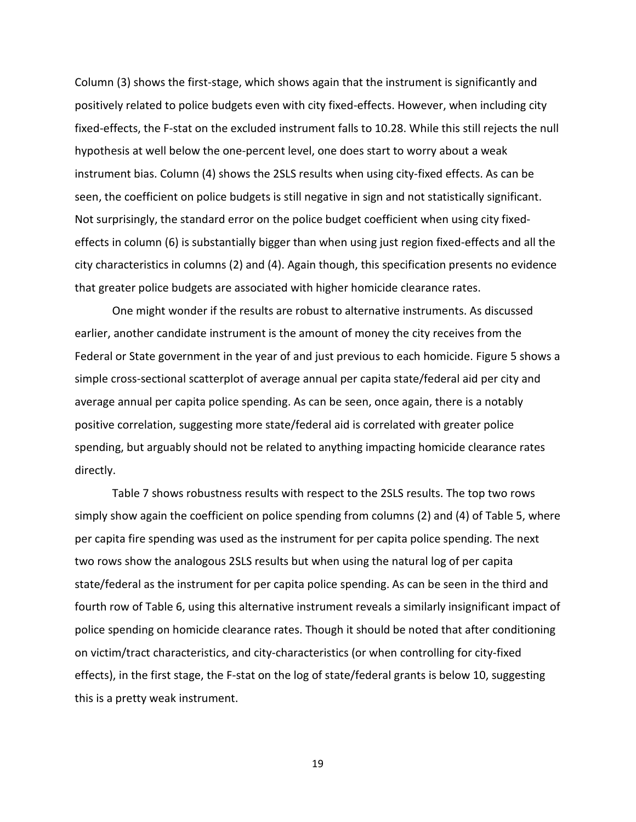Column (3) shows the first-stage, which shows again that the instrument is significantly and positively related to police budgets even with city fixed-effects. However, when including city fixed-effects, the F-stat on the excluded instrument falls to 10.28. While this still rejects the null hypothesis at well below the one-percent level, one does start to worry about a weak instrument bias. Column (4) shows the 2SLS results when using city-fixed effects. As can be seen, the coefficient on police budgets is still negative in sign and not statistically significant. Not surprisingly, the standard error on the police budget coefficient when using city fixedeffects in column (6) is substantially bigger than when using just region fixed-effects and all the city characteristics in columns (2) and (4). Again though, this specification presents no evidence that greater police budgets are associated with higher homicide clearance rates.

One might wonder if the results are robust to alternative instruments. As discussed earlier, another candidate instrument is the amount of money the city receives from the Federal or State government in the year of and just previous to each homicide. Figure 5 shows a simple cross-sectional scatterplot of average annual per capita state/federal aid per city and average annual per capita police spending. As can be seen, once again, there is a notably positive correlation, suggesting more state/federal aid is correlated with greater police spending, but arguably should not be related to anything impacting homicide clearance rates directly.

Table 7 shows robustness results with respect to the 2SLS results. The top two rows simply show again the coefficient on police spending from columns (2) and (4) of Table 5, where per capita fire spending was used as the instrument for per capita police spending. The next two rows show the analogous 2SLS results but when using the natural log of per capita state/federal as the instrument for per capita police spending. As can be seen in the third and fourth row of Table 6, using this alternative instrument reveals a similarly insignificant impact of police spending on homicide clearance rates. Though it should be noted that after conditioning on victim/tract characteristics, and city-characteristics (or when controlling for city-fixed effects), in the first stage, the F-stat on the log of state/federal grants is below 10, suggesting this is a pretty weak instrument.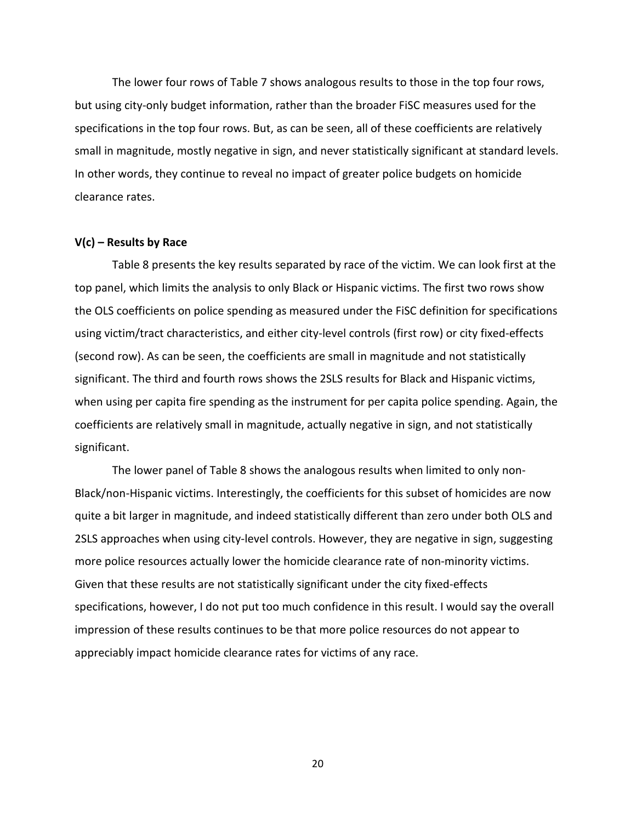The lower four rows of Table 7 shows analogous results to those in the top four rows, but using city-only budget information, rather than the broader FiSC measures used for the specifications in the top four rows. But, as can be seen, all of these coefficients are relatively small in magnitude, mostly negative in sign, and never statistically significant at standard levels. In other words, they continue to reveal no impact of greater police budgets on homicide clearance rates.

## **V(c) – Results by Race**

Table 8 presents the key results separated by race of the victim. We can look first at the top panel, which limits the analysis to only Black or Hispanic victims. The first two rows show the OLS coefficients on police spending as measured under the FiSC definition for specifications using victim/tract characteristics, and either city-level controls (first row) or city fixed-effects (second row). As can be seen, the coefficients are small in magnitude and not statistically significant. The third and fourth rows shows the 2SLS results for Black and Hispanic victims, when using per capita fire spending as the instrument for per capita police spending. Again, the coefficients are relatively small in magnitude, actually negative in sign, and not statistically significant.

The lower panel of Table 8 shows the analogous results when limited to only non-Black/non-Hispanic victims. Interestingly, the coefficients for this subset of homicides are now quite a bit larger in magnitude, and indeed statistically different than zero under both OLS and 2SLS approaches when using city-level controls. However, they are negative in sign, suggesting more police resources actually lower the homicide clearance rate of non-minority victims. Given that these results are not statistically significant under the city fixed-effects specifications, however, I do not put too much confidence in this result. I would say the overall impression of these results continues to be that more police resources do not appear to appreciably impact homicide clearance rates for victims of any race.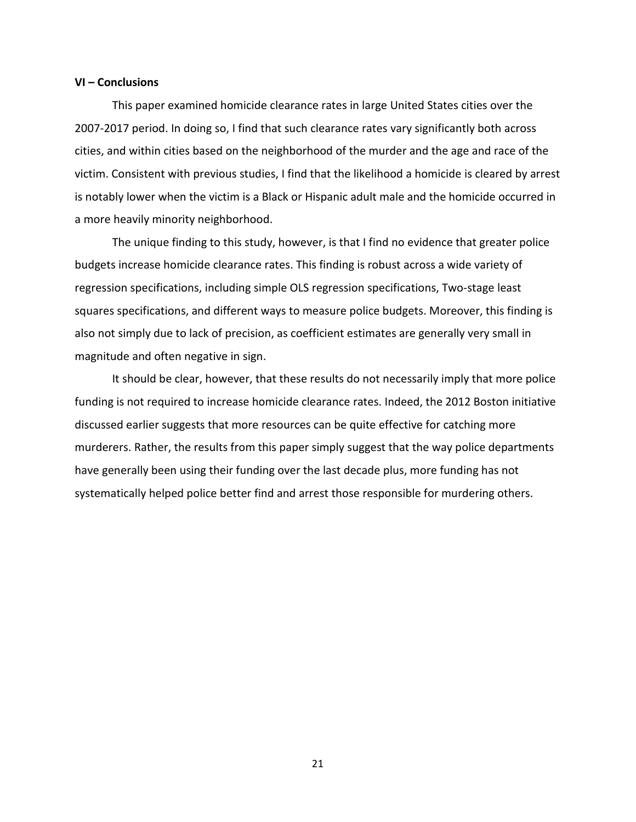#### **VI – Conclusions**

This paper examined homicide clearance rates in large United States cities over the 2007-2017 period. In doing so, I find that such clearance rates vary significantly both across cities, and within cities based on the neighborhood of the murder and the age and race of the victim. Consistent with previous studies, I find that the likelihood a homicide is cleared by arrest is notably lower when the victim is a Black or Hispanic adult male and the homicide occurred in a more heavily minority neighborhood.

The unique finding to this study, however, is that I find no evidence that greater police budgets increase homicide clearance rates. This finding is robust across a wide variety of regression specifications, including simple OLS regression specifications, Two-stage least squares specifications, and different ways to measure police budgets. Moreover, this finding is also not simply due to lack of precision, as coefficient estimates are generally very small in magnitude and often negative in sign.

It should be clear, however, that these results do not necessarily imply that more police funding is not required to increase homicide clearance rates. Indeed, the 2012 Boston initiative discussed earlier suggests that more resources can be quite effective for catching more murderers. Rather, the results from this paper simply suggest that the way police departments have generally been using their funding over the last decade plus, more funding has not systematically helped police better find and arrest those responsible for murdering others.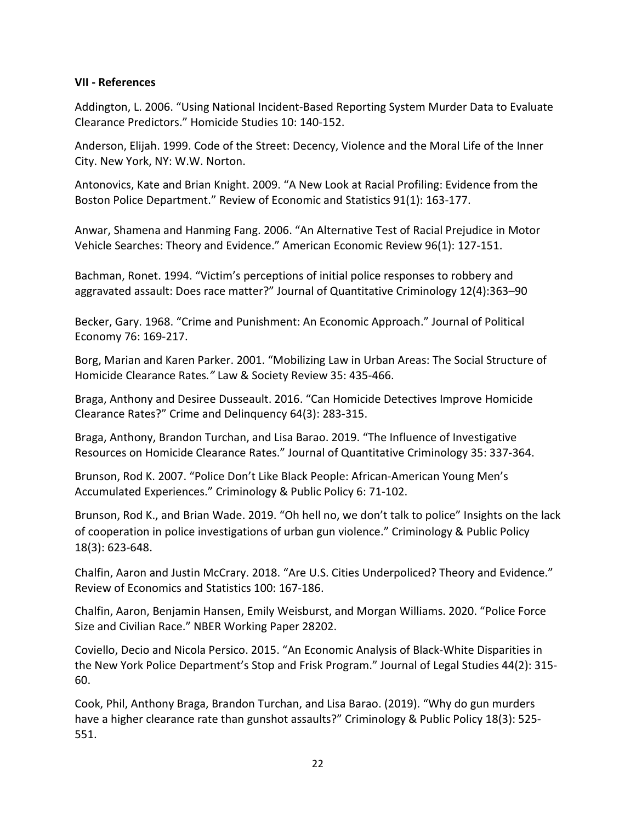## **VII - References**

Addington, L. 2006. "Using National Incident-Based Reporting System Murder Data to Evaluate Clearance Predictors." Homicide Studies 10: 140-152.

Anderson, Elijah. 1999. Code of the Street: Decency, Violence and the Moral Life of the Inner City. New York, NY: W.W. Norton.

Antonovics, Kate and Brian Knight. 2009. "A New Look at Racial Profiling: Evidence from the Boston Police Department." Review of Economic and Statistics 91(1): 163-177.

Anwar, Shamena and Hanming Fang. 2006. "An Alternative Test of Racial Prejudice in Motor Vehicle Searches: Theory and Evidence." American Economic Review 96(1): 127-151.

Bachman, Ronet. 1994. "Victim's perceptions of initial police responses to robbery and aggravated assault: Does race matter?" Journal of Quantitative Criminology 12(4):363–90

Becker, Gary. 1968. "Crime and Punishment: An Economic Approach." Journal of Political Economy 76: 169-217.

Borg, Marian and Karen Parker. 2001. "Mobilizing Law in Urban Areas: The Social Structure of Homicide Clearance Rates*."* Law & Society Review 35: 435-466.

Braga, Anthony and Desiree Dusseault. 2016. "Can Homicide Detectives Improve Homicide Clearance Rates?" Crime and Delinquency 64(3): 283-315.

Braga, Anthony, Brandon Turchan, and Lisa Barao. 2019. "The Influence of Investigative Resources on Homicide Clearance Rates." Journal of Quantitative Criminology 35: 337-364.

Brunson, Rod K. 2007. "Police Don't Like Black People: African-American Young Men's Accumulated Experiences." Criminology & Public Policy 6: 71-102.

Brunson, Rod K., and Brian Wade. 2019. "Oh hell no, we don't talk to police" Insights on the lack of cooperation in police investigations of urban gun violence." Criminology & Public Policy 18(3): 623-648.

Chalfin, Aaron and Justin McCrary. 2018. "Are U.S. Cities Underpoliced? Theory and Evidence." Review of Economics and Statistics 100: 167-186.

Chalfin, Aaron, Benjamin Hansen, Emily Weisburst, and Morgan Williams. 2020. "Police Force Size and Civilian Race." NBER Working Paper 28202.

Coviello, Decio and Nicola Persico. 2015. "An Economic Analysis of Black-White Disparities in the New York Police Department's Stop and Frisk Program." Journal of Legal Studies 44(2): 315- 60.

Cook, Phil, Anthony Braga, Brandon Turchan, and Lisa Barao. (2019). "Why do gun murders have a higher clearance rate than gunshot assaults?" Criminology & Public Policy 18(3): 525- 551.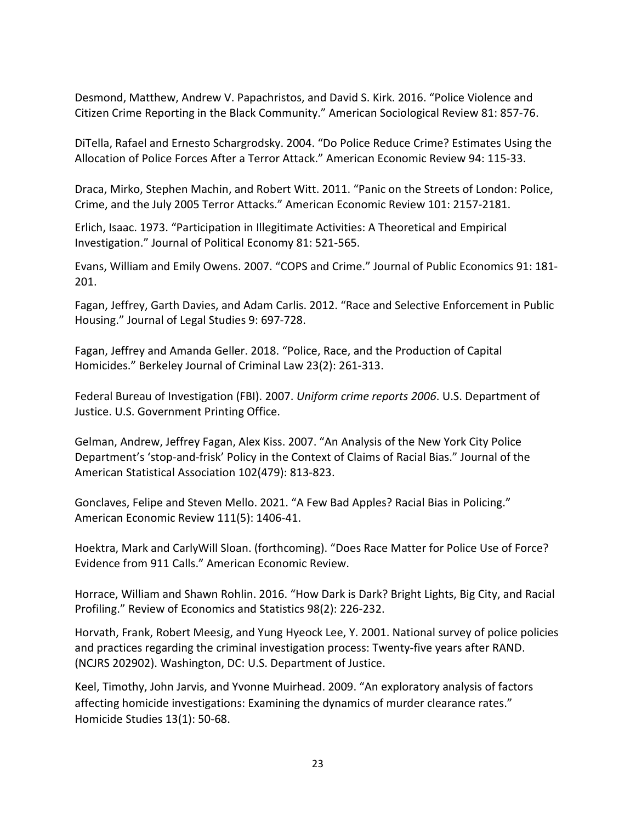Desmond, Matthew, Andrew V. Papachristos, and David S. Kirk. 2016. "Police Violence and Citizen Crime Reporting in the Black Community." American Sociological Review 81: 857-76.

DiTella, Rafael and Ernesto Schargrodsky. 2004. "Do Police Reduce Crime? Estimates Using the Allocation of Police Forces After a Terror Attack." American Economic Review 94: 115-33.

Draca, Mirko, Stephen Machin, and Robert Witt. 2011. "Panic on the Streets of London: Police, Crime, and the July 2005 Terror Attacks." American Economic Review 101: 2157-2181.

Erlich, Isaac. 1973. "Participation in Illegitimate Activities: A Theoretical and Empirical Investigation." Journal of Political Economy 81: 521-565.

Evans, William and Emily Owens. 2007. "COPS and Crime." Journal of Public Economics 91: 181- 201.

Fagan, Jeffrey, Garth Davies, and Adam Carlis. 2012. "Race and Selective Enforcement in Public Housing." Journal of Legal Studies 9: 697-728.

Fagan, Jeffrey and Amanda Geller. 2018. "Police, Race, and the Production of Capital Homicides." Berkeley Journal of Criminal Law 23(2): 261-313.

Federal Bureau of Investigation (FBI). 2007. *Uniform crime reports 2006*. U.S. Department of Justice. U.S. Government Printing Office.

Gelman, Andrew, Jeffrey Fagan, Alex Kiss. 2007. "An Analysis of the New York City Police Department's 'stop-and-frisk' Policy in the Context of Claims of Racial Bias." Journal of the American Statistical Association 102(479): 813-823.

Gonclaves, Felipe and Steven Mello. 2021. "A Few Bad Apples? Racial Bias in Policing." American Economic Review 111(5): 1406-41.

Hoektra, Mark and CarlyWill Sloan. (forthcoming). "Does Race Matter for Police Use of Force? Evidence from 911 Calls." American Economic Review.

Horrace, William and Shawn Rohlin. 2016. "How Dark is Dark? Bright Lights, Big City, and Racial Profiling." Review of Economics and Statistics 98(2): 226-232.

Horvath, Frank, Robert Meesig, and Yung Hyeock Lee, Y. 2001. National survey of police policies and practices regarding the criminal investigation process: Twenty-five years after RAND. (NCJRS 202902). Washington, DC: U.S. Department of Justice.

Keel, Timothy, John Jarvis, and Yvonne Muirhead. 2009. "An exploratory analysis of factors affecting homicide investigations: Examining the dynamics of murder clearance rates." Homicide Studies 13(1): 50-68.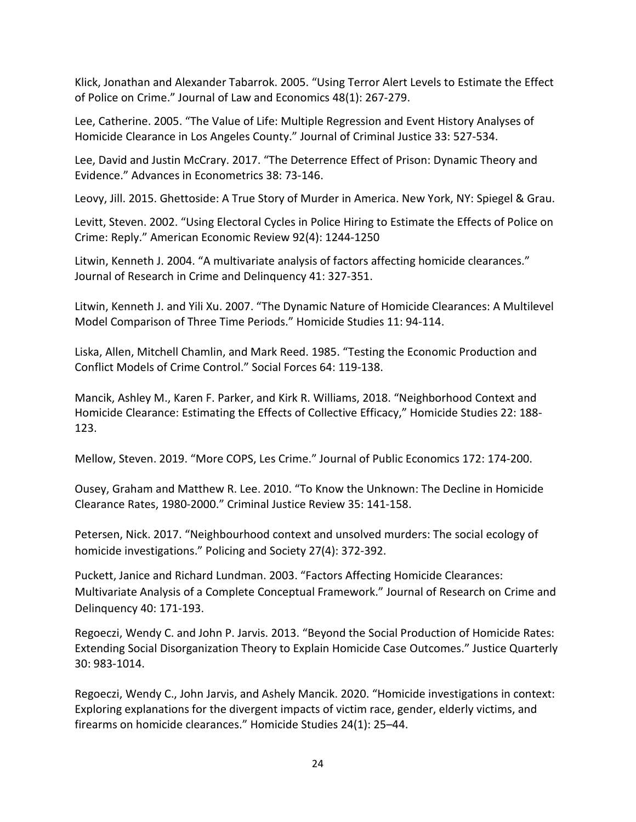Klick, Jonathan and Alexander Tabarrok. 2005. "Using Terror Alert Levels to Estimate the Effect of Police on Crime." Journal of Law and Economics 48(1): 267-279.

Lee, Catherine. 2005. "The Value of Life: Multiple Regression and Event History Analyses of Homicide Clearance in Los Angeles County." Journal of Criminal Justice 33: 527-534.

Lee, David and Justin McCrary. 2017. "The Deterrence Effect of Prison: Dynamic Theory and Evidence." Advances in Econometrics 38: 73-146.

Leovy, Jill. 2015. Ghettoside: A True Story of Murder in America. New York, NY: Spiegel & Grau.

Levitt, Steven. 2002. "Using Electoral Cycles in Police Hiring to Estimate the Effects of Police on Crime: Reply." American Economic Review 92(4): 1244-1250

Litwin, Kenneth J. 2004. "A multivariate analysis of factors affecting homicide clearances." Journal of Research in Crime and Delinquency 41: 327-351.

Litwin, Kenneth J. and Yili Xu. 2007. "The Dynamic Nature of Homicide Clearances: A Multilevel Model Comparison of Three Time Periods." Homicide Studies 11: 94-114.

Liska, Allen, Mitchell Chamlin, and Mark Reed. 1985. "Testing the Economic Production and Conflict Models of Crime Control." Social Forces 64: 119-138.

Mancik, Ashley M., Karen F. Parker, and Kirk R. Williams, 2018. "Neighborhood Context and Homicide Clearance: Estimating the Effects of Collective Efficacy," Homicide Studies 22: 188- 123.

Mellow, Steven. 2019. "More COPS, Les Crime." Journal of Public Economics 172: 174-200.

Ousey, Graham and Matthew R. Lee. 2010. "To Know the Unknown: The Decline in Homicide Clearance Rates, 1980-2000." Criminal Justice Review 35: 141-158.

Petersen, Nick. 2017. "Neighbourhood context and unsolved murders: The social ecology of homicide investigations." Policing and Society 27(4): 372-392.

Puckett, Janice and Richard Lundman. 2003. "Factors Affecting Homicide Clearances: Multivariate Analysis of a Complete Conceptual Framework." Journal of Research on Crime and Delinquency 40: 171-193.

Regoeczi, Wendy C. and John P. Jarvis. 2013. "Beyond the Social Production of Homicide Rates: Extending Social Disorganization Theory to Explain Homicide Case Outcomes." Justice Quarterly 30: 983-1014.

Regoeczi, Wendy C., John Jarvis, and Ashely Mancik. 2020. "Homicide investigations in context: Exploring explanations for the divergent impacts of victim race, gender, elderly victims, and firearms on homicide clearances." Homicide Studies 24(1): 25–44.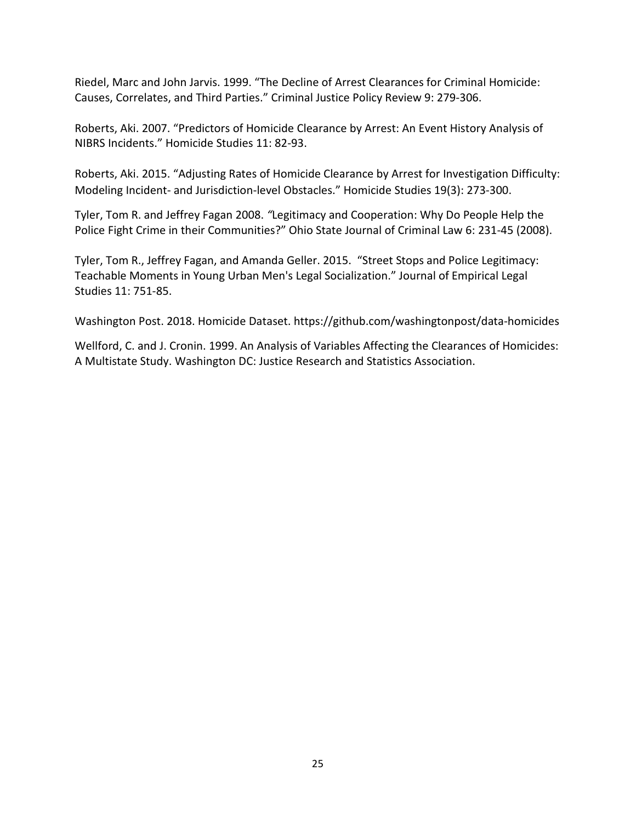Riedel, Marc and John Jarvis. 1999. "The Decline of Arrest Clearances for Criminal Homicide: Causes, Correlates, and Third Parties." Criminal Justice Policy Review 9: 279-306.

Roberts, Aki. 2007. "Predictors of Homicide Clearance by Arrest: An Event History Analysis of NIBRS Incidents." Homicide Studies 11: 82-93.

Roberts, Aki. 2015. "Adjusting Rates of Homicide Clearance by Arrest for Investigation Difficulty: Modeling Incident- and Jurisdiction-level Obstacles." Homicide Studies 19(3): 273-300.

Tyler, Tom R. and Jeffrey Fagan 2008. *"*Legitimacy and Cooperation: Why Do People Help the Police Fight Crime in their Communities?" Ohio State Journal of Criminal Law 6: 231-45 (2008).

Tyler, Tom R., Jeffrey Fagan, and Amanda Geller. 2015. "Street Stops and Police Legitimacy: Teachable Moments in Young Urban Men's Legal Socialization." Journal of Empirical Legal Studies 11: 751-85.

Washington Post. 2018. Homicide Dataset. https://github.com/washingtonpost/data-homicides

Wellford, C. and J. Cronin. 1999. An Analysis of Variables Affecting the Clearances of Homicides: A Multistate Study. Washington DC: Justice Research and Statistics Association.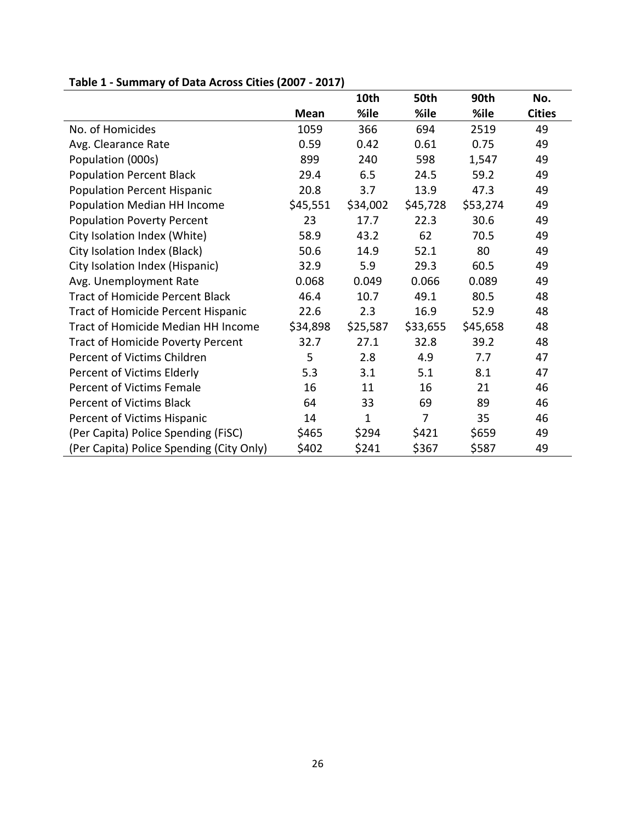|                                          |          | 10th         | 50th           | 90th     | No.           |
|------------------------------------------|----------|--------------|----------------|----------|---------------|
|                                          | Mean     | %ile         | %ile           | %ile     | <b>Cities</b> |
| No. of Homicides                         | 1059     | 366          | 694            | 2519     | 49            |
| Avg. Clearance Rate                      | 0.59     | 0.42         | 0.61           | 0.75     | 49            |
| Population (000s)                        | 899      | 240          | 598            | 1,547    | 49            |
| <b>Population Percent Black</b>          | 29.4     | 6.5          | 24.5           | 59.2     | 49            |
| <b>Population Percent Hispanic</b>       | 20.8     | 3.7          | 13.9           | 47.3     | 49            |
| Population Median HH Income              | \$45,551 | \$34,002     | \$45,728       | \$53,274 | 49            |
| <b>Population Poverty Percent</b>        | 23       | 17.7         | 22.3           | 30.6     | 49            |
| City Isolation Index (White)             | 58.9     | 43.2         | 62             | 70.5     | 49            |
| City Isolation Index (Black)             | 50.6     | 14.9         | 52.1           | 80       | 49            |
| City Isolation Index (Hispanic)          | 32.9     | 5.9          | 29.3           | 60.5     | 49            |
| Avg. Unemployment Rate                   | 0.068    | 0.049        | 0.066          | 0.089    | 49            |
| <b>Tract of Homicide Percent Black</b>   | 46.4     | 10.7         | 49.1           | 80.5     | 48            |
| Tract of Homicide Percent Hispanic       | 22.6     | 2.3          | 16.9           | 52.9     | 48            |
| Tract of Homicide Median HH Income       | \$34,898 | \$25,587     | \$33,655       | \$45,658 | 48            |
| <b>Tract of Homicide Poverty Percent</b> | 32.7     | 27.1         | 32.8           | 39.2     | 48            |
| Percent of Victims Children              | 5        | 2.8          | 4.9            | 7.7      | 47            |
| Percent of Victims Elderly               | 5.3      | 3.1          | 5.1            | 8.1      | 47            |
| Percent of Victims Female                | 16       | 11           | 16             | 21       | 46            |
| Percent of Victims Black                 | 64       | 33           | 69             | 89       | 46            |
| Percent of Victims Hispanic              | 14       | $\mathbf{1}$ | $\overline{7}$ | 35       | 46            |
| (Per Capita) Police Spending (FiSC)      | \$465    | \$294        | \$421          | \$659    | 49            |
| (Per Capita) Police Spending (City Only) | \$402    | \$241        | \$367          | \$587    | 49            |

# **Table 1 - Summary of Data Across Cities (2007 - 2017)**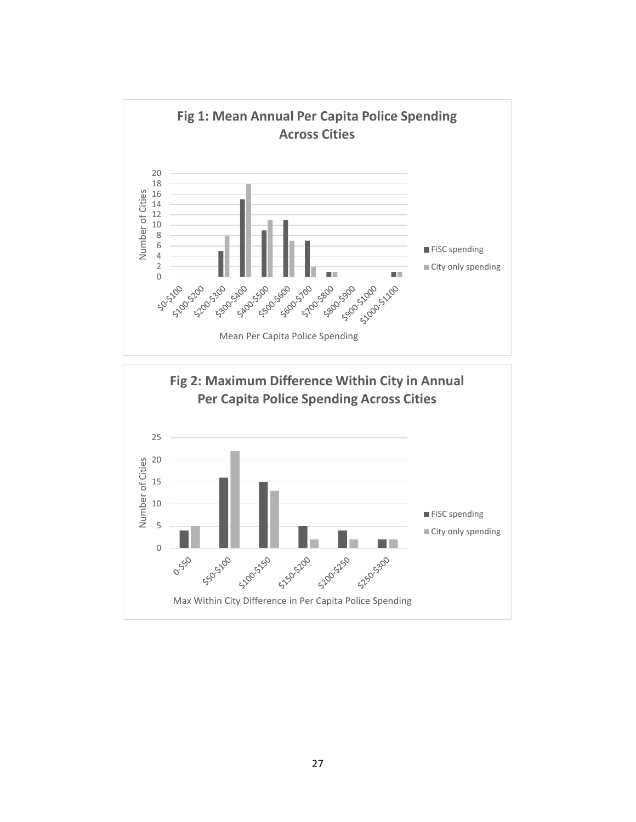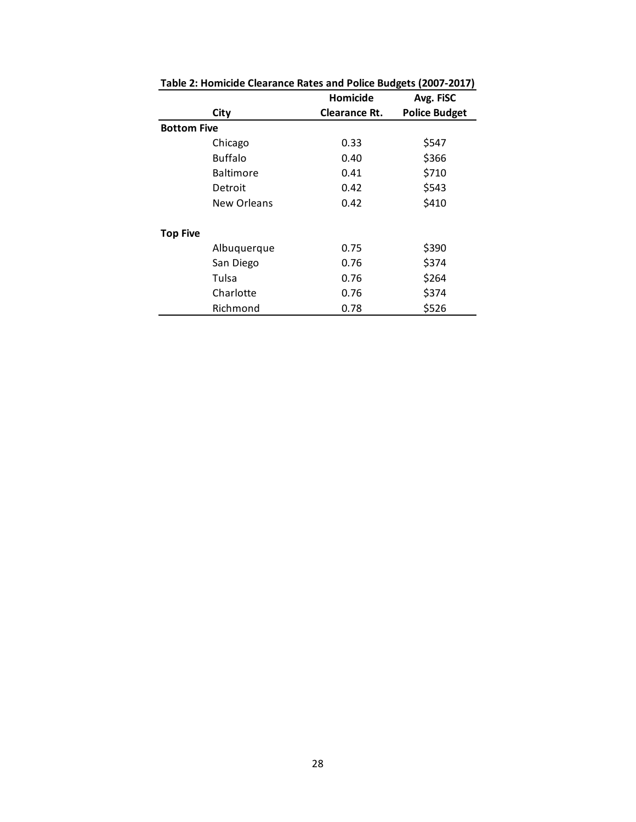|                    |                  | Homicide             | Avg. FISC            |
|--------------------|------------------|----------------------|----------------------|
|                    | City             | <b>Clearance Rt.</b> | <b>Police Budget</b> |
| <b>Bottom Five</b> |                  |                      |                      |
|                    | Chicago          | 0.33                 | \$547                |
|                    | Buffalo          | 0.40                 | \$366                |
|                    | <b>Baltimore</b> | 0.41                 | \$710                |
|                    | Detroit          | 0.42                 | \$543                |
|                    | New Orleans      | 0.42                 | \$410                |
| <b>Top Five</b>    |                  |                      |                      |
|                    | Albuquerque      | 0.75                 | \$390                |
|                    | San Diego        | 0.76                 | \$374                |
|                    | Tulsa            | 0.76                 | \$264                |
|                    | Charlotte        | 0.76                 | \$374                |
|                    | Richmond         | 0.78                 | \$526                |

**Table 2: Homicide Clearance Rates and Police Budgets (2007-2017)**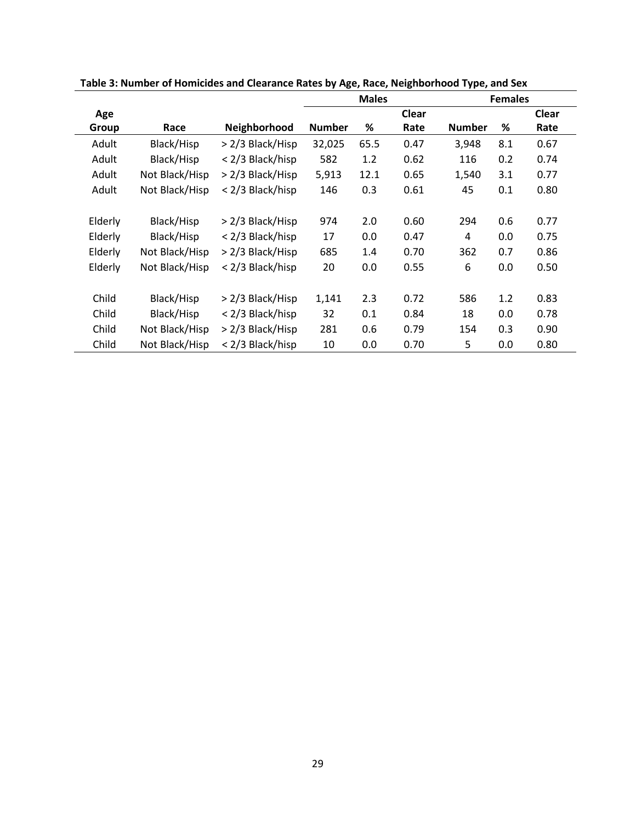|         |                |                  | <b>Males</b>  |      |       |               | <b>Females</b> |       |
|---------|----------------|------------------|---------------|------|-------|---------------|----------------|-------|
| Age     |                |                  |               |      | Clear |               |                | Clear |
| Group   | Race           | Neighborhood     | <b>Number</b> | %    | Rate  | <b>Number</b> | ℅              | Rate  |
| Adult   | Black/Hisp     | > 2/3 Black/Hisp | 32,025        | 65.5 | 0.47  | 3,948         | 8.1            | 0.67  |
| Adult   | Black/Hisp     | < 2/3 Black/hisp | 582           | 1.2  | 0.62  | 116           | 0.2            | 0.74  |
| Adult   | Not Black/Hisp | > 2/3 Black/Hisp | 5,913         | 12.1 | 0.65  | 1,540         | 3.1            | 0.77  |
| Adult   | Not Black/Hisp | < 2/3 Black/hisp | 146           | 0.3  | 0.61  | 45            | 0.1            | 0.80  |
|         |                |                  |               |      |       |               |                |       |
| Elderly | Black/Hisp     | > 2/3 Black/Hisp | 974           | 2.0  | 0.60  | 294           | 0.6            | 0.77  |
| Elderly | Black/Hisp     | < 2/3 Black/hisp | 17            | 0.0  | 0.47  | 4             | 0.0            | 0.75  |
| Elderly | Not Black/Hisp | > 2/3 Black/Hisp | 685           | 1.4  | 0.70  | 362           | 0.7            | 0.86  |
| Elderly | Not Black/Hisp | < 2/3 Black/hisp | 20            | 0.0  | 0.55  | 6             | 0.0            | 0.50  |
|         |                |                  |               |      |       |               |                |       |
| Child   | Black/Hisp     | > 2/3 Black/Hisp | 1,141         | 2.3  | 0.72  | 586           | 1.2            | 0.83  |
| Child   | Black/Hisp     | < 2/3 Black/hisp | 32            | 0.1  | 0.84  | 18            | 0.0            | 0.78  |
| Child   | Not Black/Hisp | > 2/3 Black/Hisp | 281           | 0.6  | 0.79  | 154           | 0.3            | 0.90  |
| Child   | Not Black/Hisp | < 2/3 Black/hisp | 10            | 0.0  | 0.70  | 5             | 0.0            | 0.80  |

**Table 3: Number of Homicides and Clearance Rates by Age, Race, Neighborhood Type, and Sex**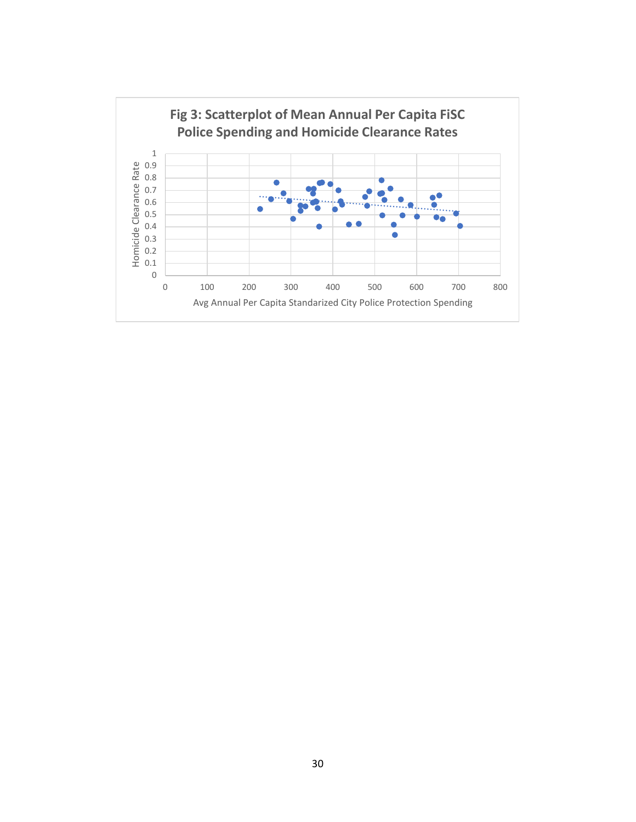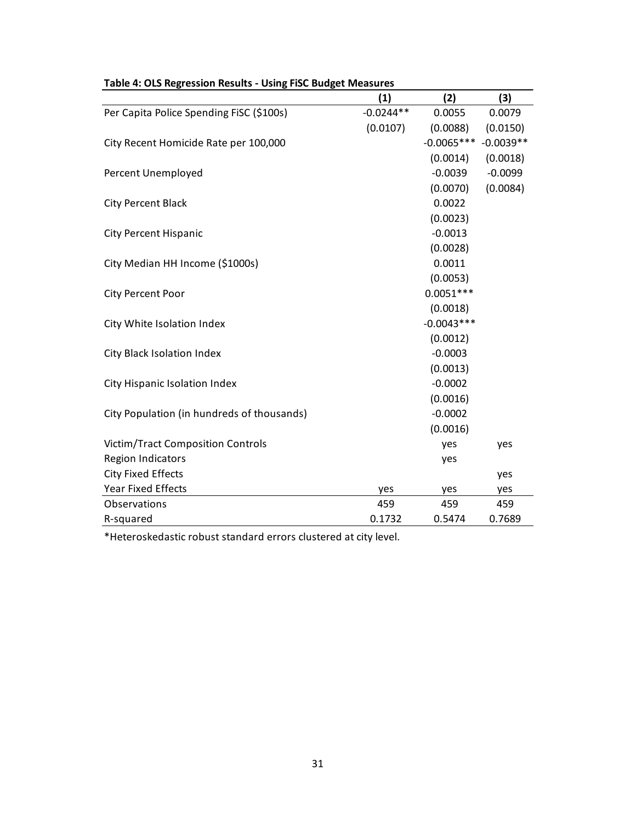|                                            | (1)         | (2)          | (3)         |
|--------------------------------------------|-------------|--------------|-------------|
| Per Capita Police Spending FiSC (\$100s)   | $-0.0244**$ | 0.0055       | 0.0079      |
|                                            | (0.0107)    | (0.0088)     | (0.0150)    |
| City Recent Homicide Rate per 100,000      |             | $-0.0065***$ | $-0.0039**$ |
|                                            |             | (0.0014)     | (0.0018)    |
| Percent Unemployed                         |             | $-0.0039$    | $-0.0099$   |
|                                            |             | (0.0070)     | (0.0084)    |
| <b>City Percent Black</b>                  |             | 0.0022       |             |
|                                            |             | (0.0023)     |             |
| <b>City Percent Hispanic</b>               |             | $-0.0013$    |             |
|                                            |             | (0.0028)     |             |
| City Median HH Income (\$1000s)            |             | 0.0011       |             |
|                                            |             | (0.0053)     |             |
| City Percent Poor                          |             | $0.0051***$  |             |
|                                            |             | (0.0018)     |             |
| City White Isolation Index                 |             | $-0.0043***$ |             |
|                                            |             | (0.0012)     |             |
| City Black Isolation Index                 |             | $-0.0003$    |             |
|                                            |             | (0.0013)     |             |
| City Hispanic Isolation Index              |             | $-0.0002$    |             |
|                                            |             | (0.0016)     |             |
| City Population (in hundreds of thousands) |             | $-0.0002$    |             |
|                                            |             | (0.0016)     |             |
| <b>Victim/Tract Composition Controls</b>   |             | yes          | yes         |
| <b>Region Indicators</b>                   |             | yes          |             |
| <b>City Fixed Effects</b>                  |             |              | yes         |
| <b>Year Fixed Effects</b>                  | yes         | yes          | yes         |
| Observations                               | 459         | 459          | 459         |
| R-squared                                  | 0.1732      | 0.5474       | 0.7689      |

# **Table 4: OLS Regression Results - Using FiSC Budget Measures**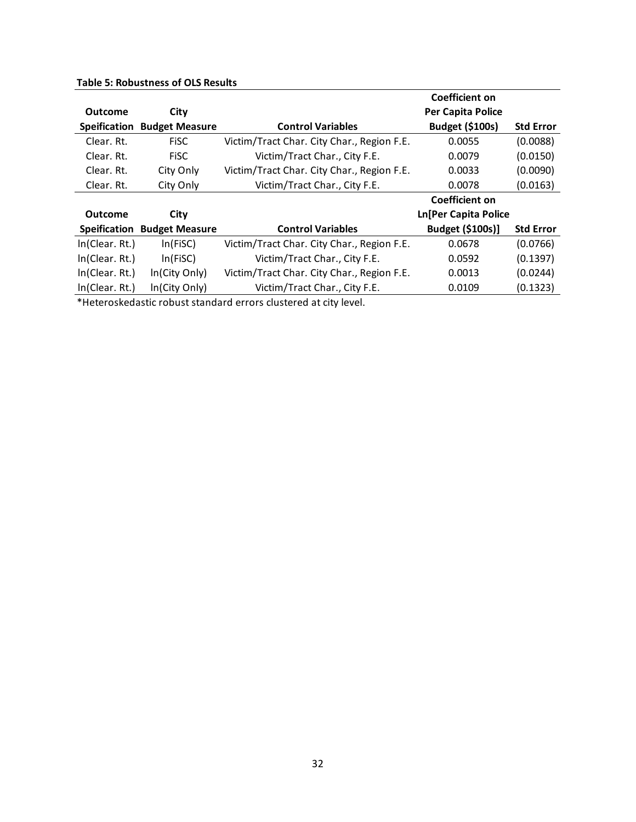|  |  | <b>Table 5: Robustness of OLS Results</b> |  |  |  |
|--|--|-------------------------------------------|--|--|--|
|--|--|-------------------------------------------|--|--|--|

|                |                                    |                                            | Coefficient on              |                  |
|----------------|------------------------------------|--------------------------------------------|-----------------------------|------------------|
| <b>Outcome</b> | City                               |                                            | <b>Per Capita Police</b>    |                  |
| Speification   | <b>Budget Measure</b>              | <b>Control Variables</b>                   | <b>Budget (\$100s)</b>      | <b>Std Error</b> |
| Clear. Rt.     | <b>FiSC</b>                        | Victim/Tract Char. City Char., Region F.E. | 0.0055                      | (0.0088)         |
| Clear. Rt.     | <b>FiSC</b>                        | Victim/Tract Char., City F.E.              | 0.0079                      | (0.0150)         |
| Clear. Rt.     | City Only                          | Victim/Tract Char. City Char., Region F.E. | 0.0033                      | (0.0090)         |
| Clear. Rt.     | City Only                          | Victim/Tract Char., City F.E.              | 0.0078                      | (0.0163)         |
|                |                                    |                                            | Coefficient on              |                  |
| <b>Outcome</b> | City                               |                                            | <b>Ln[Per Capita Police</b> |                  |
|                | <b>Speification Budget Measure</b> | <b>Control Variables</b>                   | Budget (\$100s)]            | <b>Std Error</b> |
| In(Clear. Rt.) | In(FiSC)                           | Victim/Tract Char. City Char., Region F.E. | 0.0678                      | (0.0766)         |
| In(Clear. Rt.) | In(FiSC)                           | Victim/Tract Char., City F.E.              | 0.0592                      | (0.1397)         |
| In(Clear. Rt.) | In(City Only)                      | Victim/Tract Char. City Char., Region F.E. | 0.0013                      | (0.0244)         |
| In(Clear. Rt.) | In(City Only)                      | Victim/Tract Char., City F.E.              | 0.0109                      | (0.1323)         |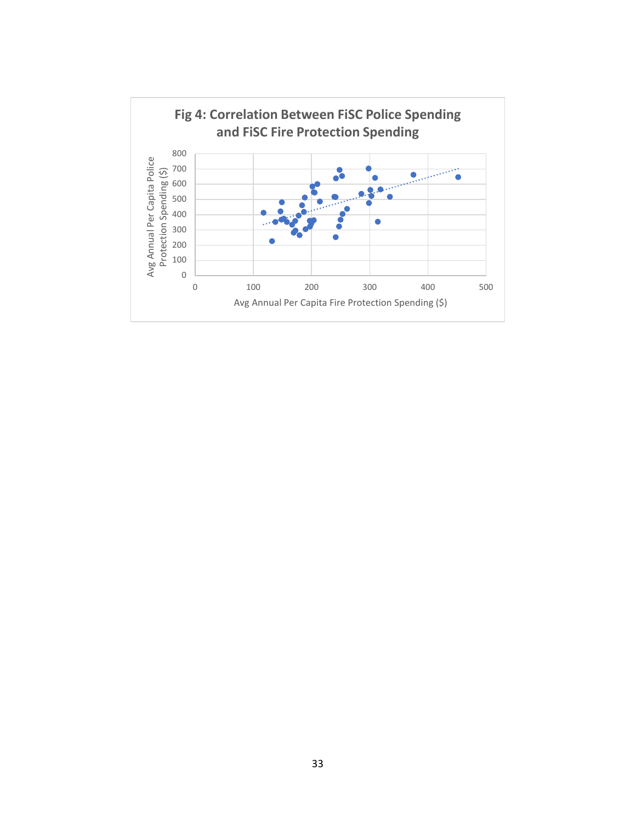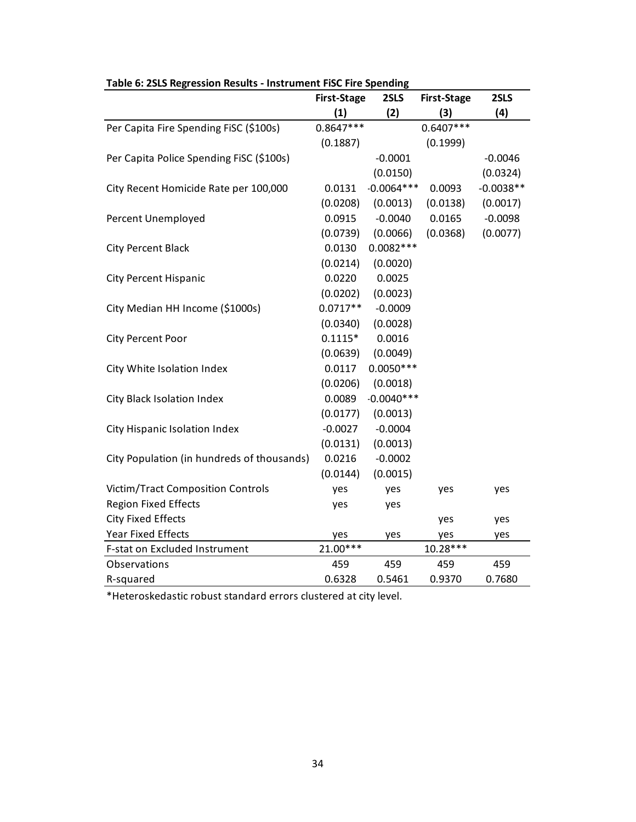|                                            | <b>First-Stage</b> | 2SLS         | <b>First-Stage</b> | 2SLS        |
|--------------------------------------------|--------------------|--------------|--------------------|-------------|
|                                            | (1)                | (2)          | (3)                | (4)         |
| Per Capita Fire Spending FISC (\$100s)     | $0.8647***$        |              | $0.6407***$        |             |
|                                            | (0.1887)           |              | (0.1999)           |             |
| Per Capita Police Spending FISC (\$100s)   |                    | $-0.0001$    |                    | $-0.0046$   |
|                                            |                    | (0.0150)     |                    | (0.0324)    |
| City Recent Homicide Rate per 100,000      | 0.0131             | $-0.0064***$ | 0.0093             | $-0.0038**$ |
|                                            | (0.0208)           | (0.0013)     | (0.0138)           | (0.0017)    |
| Percent Unemployed                         | 0.0915             | $-0.0040$    | 0.0165             | $-0.0098$   |
|                                            | (0.0739)           | (0.0066)     | (0.0368)           | (0.0077)    |
| <b>City Percent Black</b>                  | 0.0130             | $0.0082***$  |                    |             |
|                                            | (0.0214)           | (0.0020)     |                    |             |
| <b>City Percent Hispanic</b>               | 0.0220             | 0.0025       |                    |             |
|                                            | (0.0202)           | (0.0023)     |                    |             |
| City Median HH Income (\$1000s)            | $0.0717**$         | $-0.0009$    |                    |             |
|                                            | (0.0340)           | (0.0028)     |                    |             |
| City Percent Poor                          | $0.1115*$          | 0.0016       |                    |             |
|                                            | (0.0639)           | (0.0049)     |                    |             |
| City White Isolation Index                 | 0.0117             | $0.0050***$  |                    |             |
|                                            | (0.0206)           | (0.0018)     |                    |             |
| City Black Isolation Index                 | 0.0089             | $-0.0040***$ |                    |             |
|                                            | (0.0177)           | (0.0013)     |                    |             |
| City Hispanic Isolation Index              | $-0.0027$          | $-0.0004$    |                    |             |
|                                            | (0.0131)           | (0.0013)     |                    |             |
| City Population (in hundreds of thousands) | 0.0216             | $-0.0002$    |                    |             |
|                                            | (0.0144)           | (0.0015)     |                    |             |
| <b>Victim/Tract Composition Controls</b>   | yes                | yes          | yes                | yes         |
| <b>Region Fixed Effects</b>                | yes                | yes          |                    |             |
| <b>City Fixed Effects</b>                  |                    |              | yes                | yes         |
| <b>Year Fixed Effects</b>                  | yes                | yes          | yes                | yes         |
| F-stat on Excluded Instrument              | 21.00***           |              | 10.28***           |             |
| Observations                               | 459                | 459          | 459                | 459         |
| R-squared                                  | 0.6328             | 0.5461       | 0.9370             | 0.7680      |

**Table 6: 2SLS Regression Results - Instrument FiSC Fire Spending**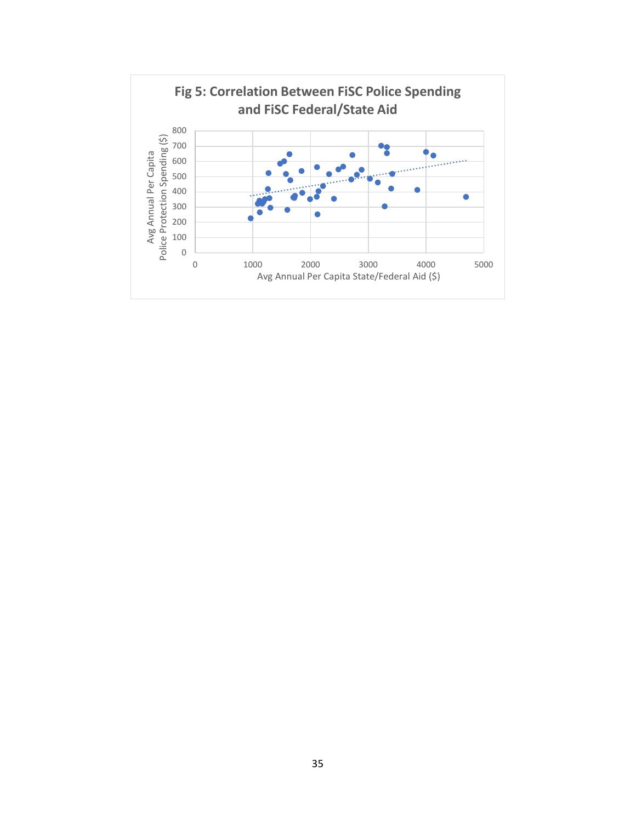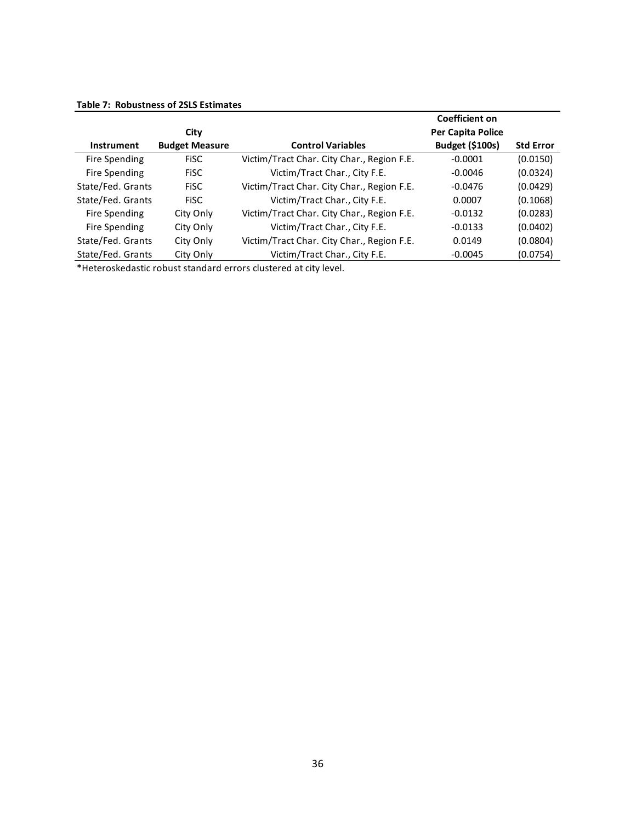|                   |                       |                                            | Coefficient on         |                  |
|-------------------|-----------------------|--------------------------------------------|------------------------|------------------|
|                   | City                  |                                            | Per Capita Police      |                  |
| Instrument        | <b>Budget Measure</b> | <b>Control Variables</b>                   | <b>Budget (\$100s)</b> | <b>Std Error</b> |
| Fire Spending     | <b>FISC</b>           | Victim/Tract Char. City Char., Region F.E. | $-0.0001$              | (0.0150)         |
| Fire Spending     | <b>FISC</b>           | Victim/Tract Char., City F.E.              | $-0.0046$              | (0.0324)         |
| State/Fed. Grants | <b>FISC</b>           | Victim/Tract Char. City Char., Region F.E. | $-0.0476$              | (0.0429)         |
| State/Fed. Grants | <b>FISC</b>           | Victim/Tract Char., City F.E.              | 0.0007                 | (0.1068)         |
| Fire Spending     | City Only             | Victim/Tract Char. City Char., Region F.E. | $-0.0132$              | (0.0283)         |
| Fire Spending     | City Only             | Victim/Tract Char., City F.E.              | $-0.0133$              | (0.0402)         |
| State/Fed. Grants | City Only             | Victim/Tract Char. City Char., Region F.E. | 0.0149                 | (0.0804)         |
| State/Fed. Grants | City Only             | Victim/Tract Char., City F.E.              | $-0.0045$              | (0.0754)         |

#### **Table 7: Robustness of 2SLS Estimates**